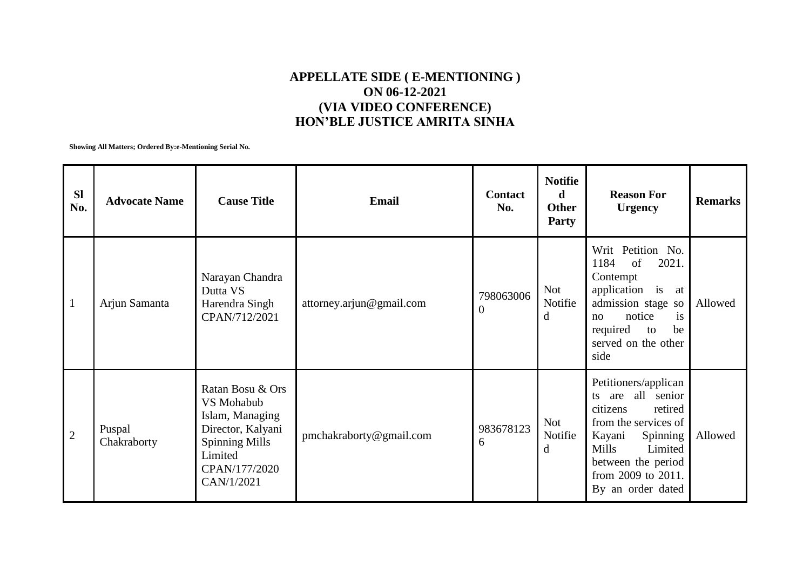## **APPELLATE SIDE ( E-MENTIONING ) ON 06-12-2021 (VIA VIDEO CONFERENCE) HON'BLE JUSTICE AMRITA SINHA**

**Showing All Matters; Ordered By:e-Mentioning Serial No.**

| <b>Sl</b><br>No. | <b>Advocate Name</b>  | <b>Cause Title</b>                                                                                                                        | Email                    | <b>Contact</b><br>No.       | <b>Notifie</b><br>d<br><b>Other</b><br><b>Party</b> | <b>Reason For</b><br><b>Urgency</b>                                                                                                                                                                        | <b>Remarks</b> |
|------------------|-----------------------|-------------------------------------------------------------------------------------------------------------------------------------------|--------------------------|-----------------------------|-----------------------------------------------------|------------------------------------------------------------------------------------------------------------------------------------------------------------------------------------------------------------|----------------|
| $\mathbf{1}$     | Arjun Samanta         | Narayan Chandra<br>Dutta VS<br>Harendra Singh<br>CPAN/712/2021                                                                            | attorney.arjun@gmail.com | 798063006<br>$\overline{0}$ | Not<br>Notifie<br>$\mathbf d$                       | Writ Petition No.<br>1184<br>of<br>2021.<br>Contempt<br>application is at<br>admission stage so<br>is<br>notice<br>no<br>required<br>be<br>to<br>served on the other<br>side                               | Allowed        |
| $\sqrt{2}$       | Puspal<br>Chakraborty | Ratan Bosu & Ors<br>VS Mohabub<br>Islam, Managing<br>Director, Kalyani<br><b>Spinning Mills</b><br>Limited<br>CPAN/177/2020<br>CAN/1/2021 | pmchakraborty@gmail.com  | 983678123<br>6              | <b>Not</b><br>Notifie<br>d                          | Petitioners/applican<br>ts are all senior<br>citizens<br>retired<br>from the services of<br>Spinning<br>Kayani<br><b>Mills</b><br>Limited<br>between the period<br>from 2009 to 2011.<br>By an order dated | Allowed        |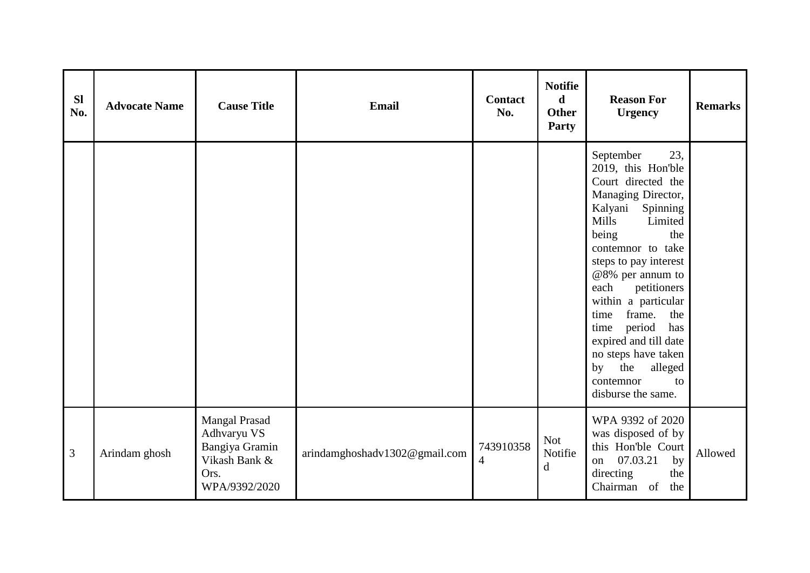| <b>Sl</b><br>No. | <b>Advocate Name</b> | <b>Cause Title</b>                                                                              | Email                         | <b>Contact</b><br>No.                 | <b>Notifie</b><br>$\mathbf d$<br><b>Other</b><br>Party | <b>Reason For</b><br><b>Urgency</b>                                                                                                                                                                                                                                                                                                                                                                                                  | <b>Remarks</b> |
|------------------|----------------------|-------------------------------------------------------------------------------------------------|-------------------------------|---------------------------------------|--------------------------------------------------------|--------------------------------------------------------------------------------------------------------------------------------------------------------------------------------------------------------------------------------------------------------------------------------------------------------------------------------------------------------------------------------------------------------------------------------------|----------------|
|                  |                      |                                                                                                 |                               |                                       |                                                        | September<br>23,<br>2019, this Hon'ble<br>Court directed the<br>Managing Director,<br>Kalyani Spinning<br><b>Mills</b><br>Limited<br>being<br>the<br>contemnor to take<br>steps to pay interest<br>@8% per annum to<br>each<br>petitioners<br>within a particular<br>frame.<br>the<br>time<br>period<br>has<br>time<br>expired and till date<br>no steps have taken<br>alleged<br>by<br>the<br>contemnor<br>to<br>disburse the same. |                |
| 3                | Arindam ghosh        | <b>Mangal Prasad</b><br>Adhvaryu VS<br>Bangiya Gramin<br>Vikash Bank &<br>Ors.<br>WPA/9392/2020 | arindamghoshadv1302@gmail.com | 743910358<br>$\overline{\mathcal{A}}$ | Not<br>Notifie<br>$\mathbf d$                          | WPA 9392 of 2020<br>was disposed of by<br>this Hon'ble Court<br>07.03.21<br>by<br>on<br>directing<br>the<br>Chairman of<br>the                                                                                                                                                                                                                                                                                                       | Allowed        |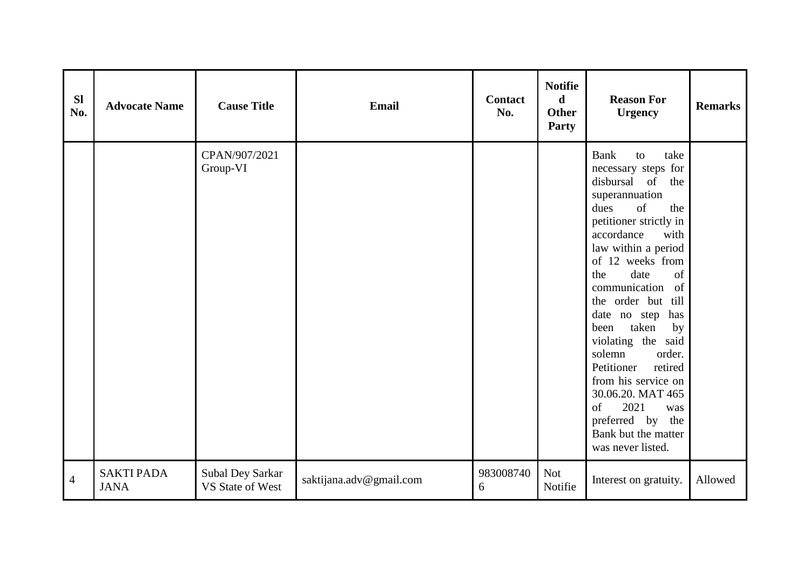| <b>Sl</b><br>No. | <b>Advocate Name</b>             | <b>Cause Title</b>                   | Email                   | <b>Contact</b><br>No. | <b>Notifie</b><br>$\mathbf d$<br><b>Other</b><br>Party | <b>Reason For</b><br><b>Urgency</b>                                                                                                                                                                                                                                                                                                                                                                                                                                                                                                | <b>Remarks</b> |
|------------------|----------------------------------|--------------------------------------|-------------------------|-----------------------|--------------------------------------------------------|------------------------------------------------------------------------------------------------------------------------------------------------------------------------------------------------------------------------------------------------------------------------------------------------------------------------------------------------------------------------------------------------------------------------------------------------------------------------------------------------------------------------------------|----------------|
|                  |                                  | CPAN/907/2021<br>Group-VI            |                         |                       |                                                        | <b>Bank</b><br>take<br>to<br>necessary steps for<br>disbursal of<br>the<br>superannuation<br>dues<br>of<br>the<br>petitioner strictly in<br>accordance<br>with<br>law within a period<br>of 12 weeks from<br>date<br>of<br>the<br>of<br>communication<br>the order but till<br>date no step has<br>taken<br>by<br>been<br>violating the said<br>solemn<br>order.<br>Petitioner<br>retired<br>from his service on<br>30.06.20. MAT 465<br>2021<br>$\sigma$ f<br>was<br>preferred by the<br>Bank but the matter<br>was never listed. |                |
| $\overline{4}$   | <b>SAKTI PADA</b><br><b>JANA</b> | Subal Dey Sarkar<br>VS State of West | saktijana.adv@gmail.com | 983008740<br>6        | <b>Not</b><br>Notifie                                  | Interest on gratuity.                                                                                                                                                                                                                                                                                                                                                                                                                                                                                                              | Allowed        |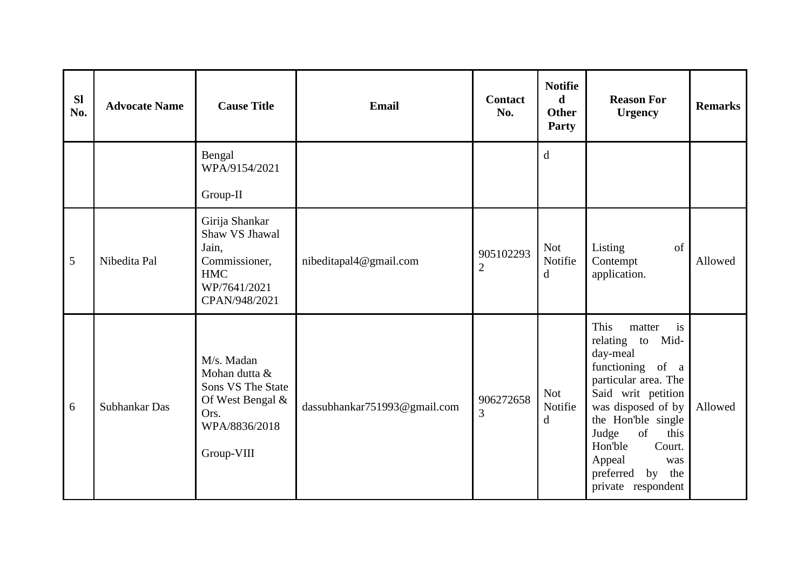| <b>Sl</b><br>No. | <b>Advocate Name</b> | <b>Cause Title</b>                                                                                          | <b>Email</b>                 | Contact<br>No.              | <b>Notifie</b><br>d<br><b>Other</b><br><b>Party</b> | <b>Reason For</b><br><b>Urgency</b>                                                                                                                                                                                                                                          | <b>Remarks</b> |
|------------------|----------------------|-------------------------------------------------------------------------------------------------------------|------------------------------|-----------------------------|-----------------------------------------------------|------------------------------------------------------------------------------------------------------------------------------------------------------------------------------------------------------------------------------------------------------------------------------|----------------|
|                  |                      | Bengal<br>WPA/9154/2021<br>Group-II                                                                         |                              |                             | $\mathbf d$                                         |                                                                                                                                                                                                                                                                              |                |
| 5                | Nibedita Pal         | Girija Shankar<br>Shaw VS Jhawal<br>Jain,<br>Commissioner,<br><b>HMC</b><br>WP/7641/2021<br>CPAN/948/2021   | nibeditapal4@gmail.com       | 905102293<br>$\overline{2}$ | <b>Not</b><br>Notifie<br>d                          | Listing<br>of<br>Contempt<br>application.                                                                                                                                                                                                                                    | Allowed        |
| 6                | Subhankar Das        | M/s. Madan<br>Mohan dutta &<br>Sons VS The State<br>Of West Bengal &<br>Ors.<br>WPA/8836/2018<br>Group-VIII | dassubhankar751993@gmail.com | 906272658<br>3              | <b>Not</b><br>Notifie<br>d                          | This<br>is<br>matter<br>relating to Mid-<br>day-meal<br>functioning of a<br>particular area. The<br>Said writ petition<br>was disposed of by<br>the Hon'ble single<br>Judge<br>of<br>this<br>Hon'ble<br>Court.<br>Appeal<br>was<br>preferred<br>by the<br>private respondent | Allowed        |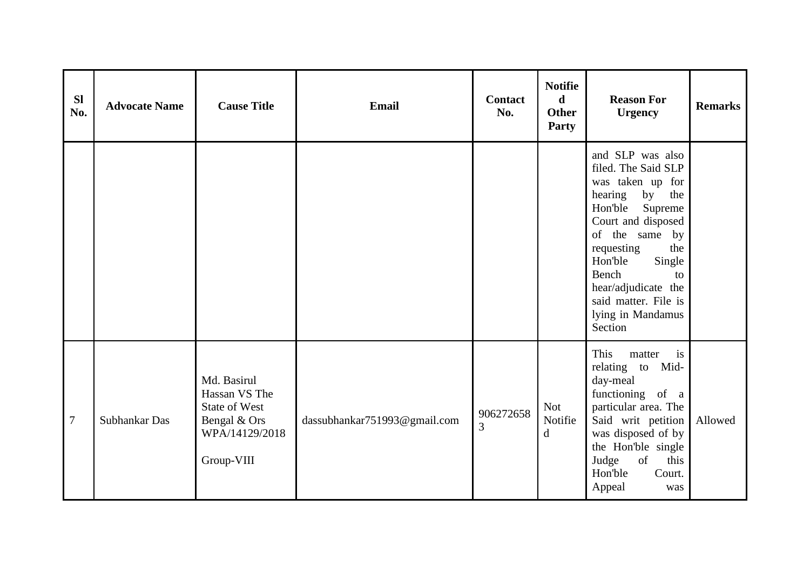| <b>SI</b><br>No. | <b>Advocate Name</b> | <b>Cause Title</b>                                                                                   | <b>Email</b>                 | <b>Contact</b><br>No.       | <b>Notifie</b><br>$\mathbf d$<br><b>Other</b><br>Party | <b>Reason For</b><br><b>Urgency</b>                                                                                                                                                                                                                                                       | <b>Remarks</b> |
|------------------|----------------------|------------------------------------------------------------------------------------------------------|------------------------------|-----------------------------|--------------------------------------------------------|-------------------------------------------------------------------------------------------------------------------------------------------------------------------------------------------------------------------------------------------------------------------------------------------|----------------|
|                  |                      |                                                                                                      |                              |                             |                                                        | and SLP was also<br>filed. The Said SLP<br>was taken up for<br>hearing<br>by<br>the<br>Hon'ble<br>Supreme<br>Court and disposed<br>of the same by<br>requesting<br>the<br>Hon'ble<br>Single<br>Bench<br>to<br>hear/adjudicate the<br>said matter. File is<br>lying in Mandamus<br>Section |                |
| $\overline{7}$   | Subhankar Das        | Md. Basirul<br>Hassan VS The<br><b>State of West</b><br>Bengal & Ors<br>WPA/14129/2018<br>Group-VIII | dassubhankar751993@gmail.com | 906272658<br>$\overline{3}$ | <b>Not</b><br>Notifie<br>$\mathbf{d}$                  | This<br>matter<br>i <sub>s</sub><br>relating to Mid-<br>day-meal<br>functioning of a<br>particular area. The<br>Said writ petition<br>was disposed of by<br>the Hon'ble single<br>Judge<br>of<br>this<br>Hon'ble<br>Court.<br>Appeal<br>was                                               | Allowed        |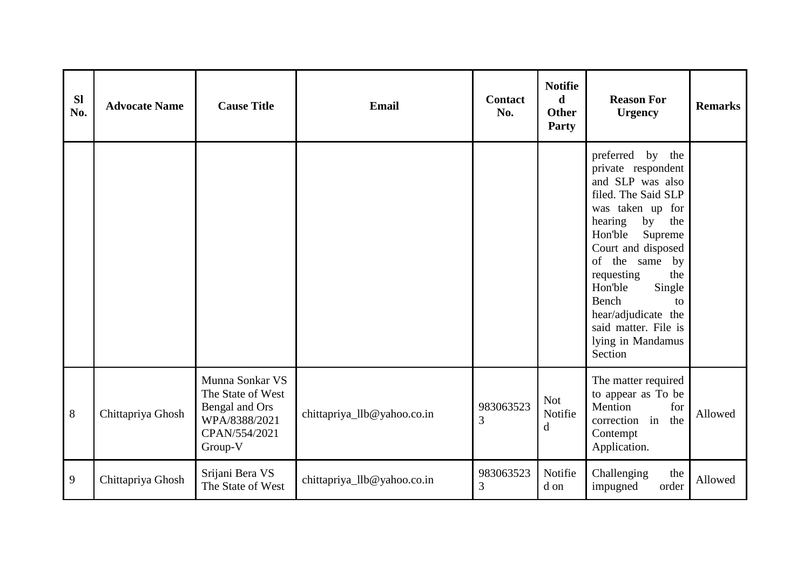| <b>Sl</b><br>No. | <b>Advocate Name</b> | <b>Cause Title</b>                                                                                  | <b>Email</b>                | Contact<br>No. | <b>Notifie</b><br>$\mathbf d$<br><b>Other</b><br>Party | <b>Reason For</b><br><b>Urgency</b>                                                                                                                                                                                                                                                                                                    | <b>Remarks</b> |
|------------------|----------------------|-----------------------------------------------------------------------------------------------------|-----------------------------|----------------|--------------------------------------------------------|----------------------------------------------------------------------------------------------------------------------------------------------------------------------------------------------------------------------------------------------------------------------------------------------------------------------------------------|----------------|
|                  |                      |                                                                                                     |                             |                |                                                        | preferred by the<br>private respondent<br>and SLP was also<br>filed. The Said SLP<br>was taken up for<br>hearing<br>by<br>the<br>Hon'ble<br>Supreme<br>Court and disposed<br>of the same<br>by<br>requesting<br>the<br>Hon'ble<br>Single<br>Bench<br>to<br>hear/adjudicate the<br>said matter. File is<br>lying in Mandamus<br>Section |                |
| $8\,$            | Chittapriya Ghosh    | Munna Sonkar VS<br>The State of West<br>Bengal and Ors<br>WPA/8388/2021<br>CPAN/554/2021<br>Group-V | chittapriya_llb@yahoo.co.in | 983063523<br>3 | <b>Not</b><br>Notifie<br>d                             | The matter required<br>to appear as To be<br>Mention<br>for<br>correction in<br>the<br>Contempt<br>Application.                                                                                                                                                                                                                        | Allowed        |
| 9                | Chittapriya Ghosh    | Srijani Bera VS<br>The State of West                                                                | chittapriya_llb@yahoo.co.in | 983063523<br>3 | Notifie<br>d on                                        | Challenging<br>the<br>impugned<br>order                                                                                                                                                                                                                                                                                                | Allowed        |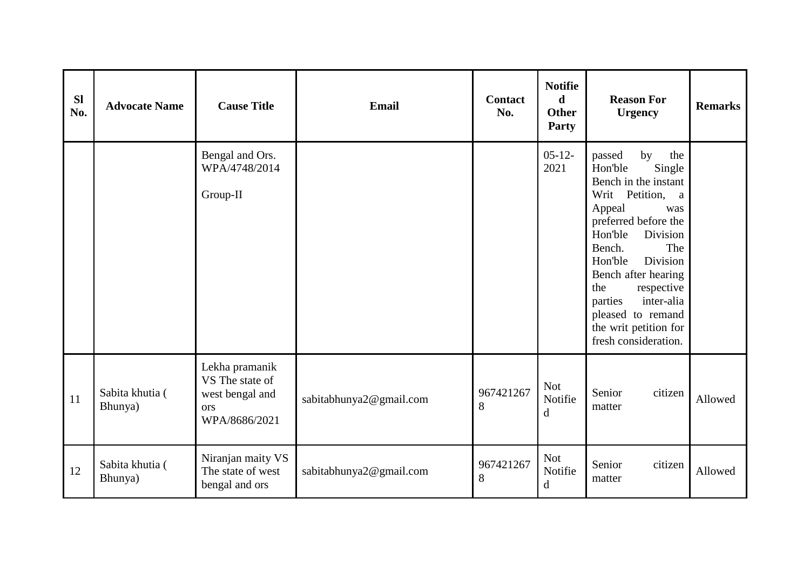| <b>Sl</b><br>No. | <b>Advocate Name</b>       | <b>Cause Title</b>                                                           | <b>Email</b>            | <b>Contact</b><br>No. | <b>Notifie</b><br>d<br><b>Other</b><br><b>Party</b> | <b>Reason For</b><br><b>Urgency</b>                                                                                                                                                                                                                                                                                                        | <b>Remarks</b> |
|------------------|----------------------------|------------------------------------------------------------------------------|-------------------------|-----------------------|-----------------------------------------------------|--------------------------------------------------------------------------------------------------------------------------------------------------------------------------------------------------------------------------------------------------------------------------------------------------------------------------------------------|----------------|
|                  |                            | Bengal and Ors.<br>WPA/4748/2014<br>Group-II                                 |                         |                       | $05-12-$<br>2021                                    | by<br>passed<br>the<br>Hon'ble<br>Single<br>Bench in the instant<br>Writ Petition,<br>a<br>Appeal<br>was<br>preferred before the<br>Hon'ble<br>Division<br>The<br>Bench.<br>Hon'ble<br>Division<br>Bench after hearing<br>the<br>respective<br>inter-alia<br>parties<br>pleased to remand<br>the writ petition for<br>fresh consideration. |                |
| 11               | Sabita khutia (<br>Bhunya) | Lekha pramanik<br>VS The state of<br>west bengal and<br>ors<br>WPA/8686/2021 | sabitabhunya2@gmail.com | 967421267<br>8        | <b>Not</b><br>Notifie<br>d                          | Senior<br>citizen<br>matter                                                                                                                                                                                                                                                                                                                | Allowed        |
| 12               | Sabita khutia (<br>Bhunya) | Niranjan maity VS<br>The state of west<br>bengal and ors                     | sabitabhunya2@gmail.com | 967421267<br>8        | <b>Not</b><br>Notifie<br>d                          | Senior<br>citizen<br>matter                                                                                                                                                                                                                                                                                                                | Allowed        |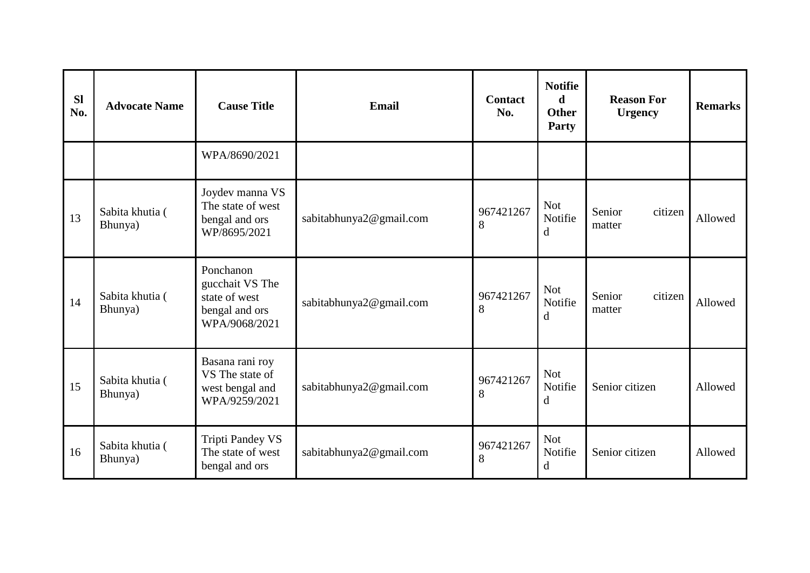| <b>Sl</b><br>No. | <b>Advocate Name</b>       | <b>Cause Title</b>                                                               | <b>Email</b>            | <b>Contact</b><br>No. | <b>Notifie</b><br>$\mathbf d$<br><b>Other</b><br>Party | <b>Reason For</b><br><b>Urgency</b> | <b>Remarks</b> |
|------------------|----------------------------|----------------------------------------------------------------------------------|-------------------------|-----------------------|--------------------------------------------------------|-------------------------------------|----------------|
|                  |                            | WPA/8690/2021                                                                    |                         |                       |                                                        |                                     |                |
| 13               | Sabita khutia (<br>Bhunya) | Joydev manna VS<br>The state of west<br>bengal and ors<br>WP/8695/2021           | sabitabhunya2@gmail.com | 967421267<br>8        | <b>Not</b><br>Notifie<br>d                             | Senior<br>citizen<br>matter         | Allowed        |
| 14               | Sabita khutia (<br>Bhunya) | Ponchanon<br>gucchait VS The<br>state of west<br>bengal and ors<br>WPA/9068/2021 | sabitabhunya2@gmail.com | 967421267<br>8        | <b>Not</b><br>Notifie<br>d                             | Senior<br>citizen<br>matter         | Allowed        |
| 15               | Sabita khutia (<br>Bhunya) | Basana rani roy<br>VS The state of<br>west bengal and<br>WPA/9259/2021           | sabitabhunya2@gmail.com | 967421267<br>8        | <b>Not</b><br>Notifie<br>d                             | Senior citizen                      | Allowed        |
| 16               | Sabita khutia (<br>Bhunya) | <b>Tripti Pandey VS</b><br>The state of west<br>bengal and ors                   | sabitabhunya2@gmail.com | 967421267<br>8        | <b>Not</b><br>Notifie<br>d                             | Senior citizen                      | Allowed        |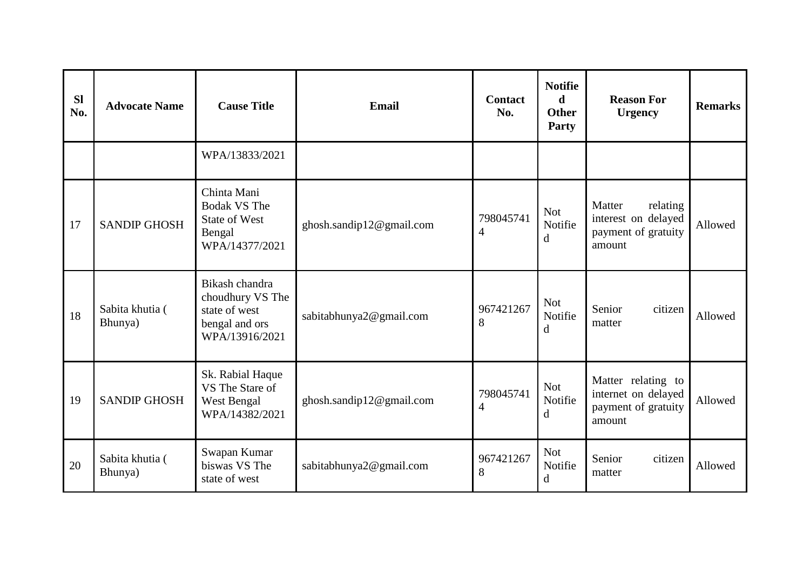| <b>Sl</b><br>No. | <b>Advocate Name</b>       | <b>Cause Title</b>                                                                      | Email                    | <b>Contact</b><br>No. | <b>Notifie</b><br>d<br><b>Other</b><br>Party | <b>Reason For</b><br><b>Urgency</b>                                        | <b>Remarks</b> |
|------------------|----------------------------|-----------------------------------------------------------------------------------------|--------------------------|-----------------------|----------------------------------------------|----------------------------------------------------------------------------|----------------|
|                  |                            | WPA/13833/2021                                                                          |                          |                       |                                              |                                                                            |                |
| 17               | <b>SANDIP GHOSH</b>        | Chinta Mani<br><b>Bodak VS The</b><br><b>State of West</b><br>Bengal<br>WPA/14377/2021  | ghosh.sandip12@gmail.com | 798045741<br>4        | <b>Not</b><br>Notifie<br>d                   | Matter<br>relating<br>interest on delayed<br>payment of gratuity<br>amount | Allowed        |
| 18               | Sabita khutia (<br>Bhunya) | Bikash chandra<br>choudhury VS The<br>state of west<br>bengal and ors<br>WPA/13916/2021 | sabitabhunya2@gmail.com  | 967421267<br>8        | <b>Not</b><br>Notifie<br>d                   | Senior<br>citizen<br>matter                                                | Allowed        |
| 19               | <b>SANDIP GHOSH</b>        | Sk. Rabial Haque<br>VS The Stare of<br>West Bengal<br>WPA/14382/2021                    | ghosh.sandip12@gmail.com | 798045741<br>4        | <b>Not</b><br>Notifie<br>d                   | Matter relating to<br>internet on delayed<br>payment of gratuity<br>amount | Allowed        |
| 20               | Sabita khutia (<br>Bhunya) | Swapan Kumar<br>biswas VS The<br>state of west                                          | sabitabhunya2@gmail.com  | 967421267<br>8        | <b>Not</b><br>Notifie<br>d                   | Senior<br>citizen<br>matter                                                | Allowed        |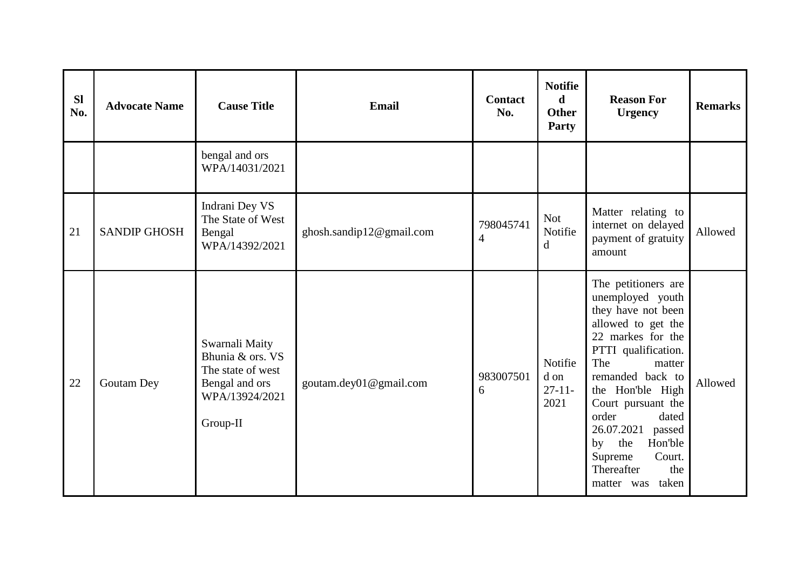| <b>Sl</b><br>No. | <b>Advocate Name</b> | <b>Cause Title</b>                                                                                      | <b>Email</b>             | <b>Contact</b><br>No.       | <b>Notifie</b><br>d<br><b>Other</b><br>Party | <b>Reason For</b><br><b>Urgency</b>                                                                                                                                                                                                                                                                                                            | <b>Remarks</b> |
|------------------|----------------------|---------------------------------------------------------------------------------------------------------|--------------------------|-----------------------------|----------------------------------------------|------------------------------------------------------------------------------------------------------------------------------------------------------------------------------------------------------------------------------------------------------------------------------------------------------------------------------------------------|----------------|
|                  |                      | bengal and ors<br>WPA/14031/2021                                                                        |                          |                             |                                              |                                                                                                                                                                                                                                                                                                                                                |                |
| 21               | <b>SANDIP GHOSH</b>  | Indrani Dey VS<br>The State of West<br>Bengal<br>WPA/14392/2021                                         | ghosh.sandip12@gmail.com | 798045741<br>$\overline{4}$ | <b>Not</b><br>Notifie<br>$\mathbf d$         | Matter relating to<br>internet on delayed<br>payment of gratuity<br>amount                                                                                                                                                                                                                                                                     | Allowed        |
| 22               | Goutam Dey           | Swarnali Maity<br>Bhunia & ors. VS<br>The state of west<br>Bengal and ors<br>WPA/13924/2021<br>Group-II | goutam.dey01@gmail.com   | 983007501<br>6              | Notifie<br>d on<br>$27 - 11$<br>2021         | The petitioners are<br>unemployed youth<br>they have not been<br>allowed to get the<br>22 markes for the<br>PTTI qualification.<br>The<br>matter<br>remanded back to<br>the Hon'ble High<br>Court pursuant the<br>order<br>dated<br>26.07.2021<br>passed<br>the<br>Hon'ble<br>by<br>Supreme<br>Court.<br>Thereafter<br>the<br>matter was taken | Allowed        |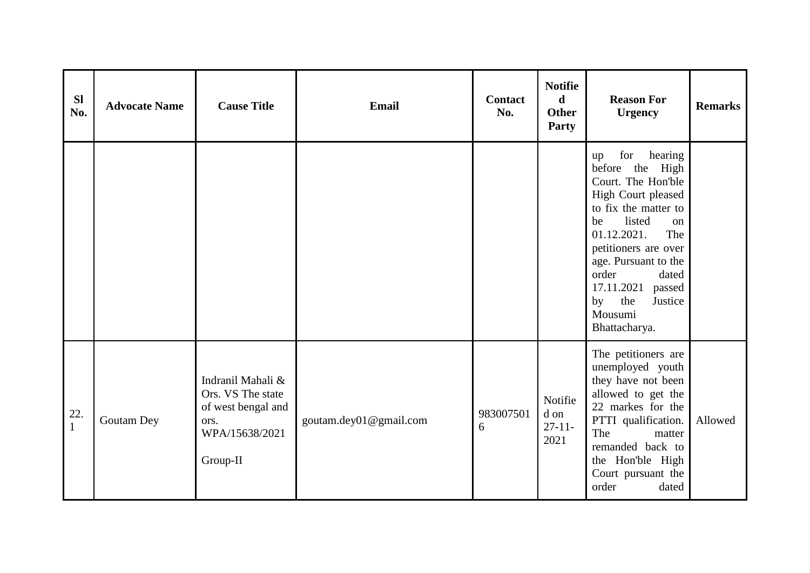| <b>Sl</b><br>No.      | <b>Advocate Name</b> | <b>Cause Title</b>                                                                                 | Email                  | <b>Contact</b><br>No. | <b>Notifie</b><br>$\mathbf d$<br><b>Other</b><br>Party | <b>Reason For</b><br><b>Urgency</b>                                                                                                                                                                                                                                                                   | <b>Remarks</b> |
|-----------------------|----------------------|----------------------------------------------------------------------------------------------------|------------------------|-----------------------|--------------------------------------------------------|-------------------------------------------------------------------------------------------------------------------------------------------------------------------------------------------------------------------------------------------------------------------------------------------------------|----------------|
|                       |                      |                                                                                                    |                        |                       |                                                        | for<br>hearing<br>up<br>before the High<br>Court. The Hon'ble<br>High Court pleased<br>to fix the matter to<br>listed<br>be<br>on<br>01.12.2021.<br>The<br>petitioners are over<br>age. Pursuant to the<br>order<br>dated<br>17.11.2021<br>passed<br>the<br>Justice<br>by<br>Mousumi<br>Bhattacharya. |                |
| 22.<br>$\overline{1}$ | Goutam Dey           | Indranil Mahali &<br>Ors. VS The state<br>of west bengal and<br>ors.<br>WPA/15638/2021<br>Group-II | goutam.dey01@gmail.com | 983007501<br>6        | Notifie<br>d on<br>$27 - 11 -$<br>2021                 | The petitioners are<br>unemployed youth<br>they have not been<br>allowed to get the<br>22 markes for the<br>PTTI qualification.<br>The<br>matter<br>remanded back to<br>the Hon'ble High<br>Court pursuant the<br>order<br>dated                                                                      | Allowed        |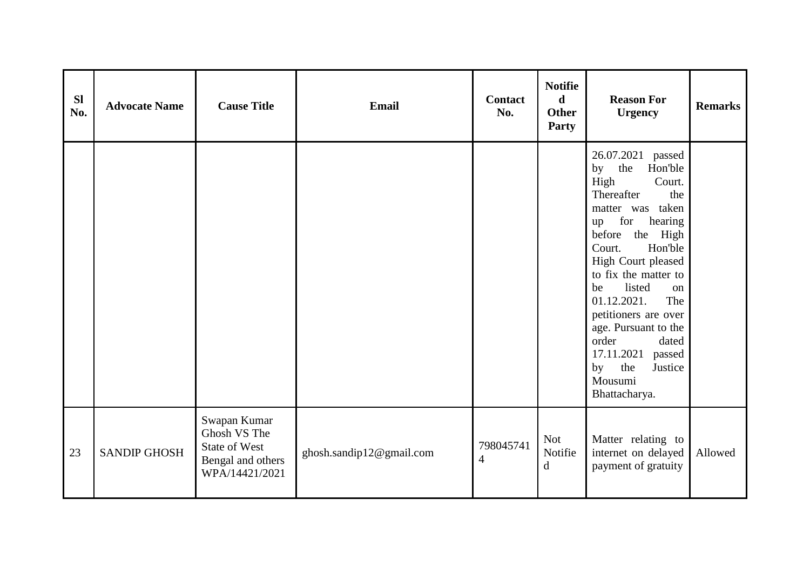| <b>Sl</b><br>No. | <b>Advocate Name</b> | <b>Cause Title</b>                                                                          | <b>Email</b>             | <b>Contact</b><br>No.       | <b>Notifie</b><br>$\mathbf d$<br><b>Other</b><br><b>Party</b> | <b>Reason For</b><br><b>Urgency</b>                                                                                                                                                                                                                                                                                                                                                                             | <b>Remarks</b> |
|------------------|----------------------|---------------------------------------------------------------------------------------------|--------------------------|-----------------------------|---------------------------------------------------------------|-----------------------------------------------------------------------------------------------------------------------------------------------------------------------------------------------------------------------------------------------------------------------------------------------------------------------------------------------------------------------------------------------------------------|----------------|
|                  |                      |                                                                                             |                          |                             |                                                               | 26.07.2021<br>passed<br>the<br>Hon'ble<br>by<br>High<br>Court.<br>Thereafter<br>the<br>matter was taken<br>for<br>hearing<br>up<br>before the High<br>Hon'ble<br>Court.<br>High Court pleased<br>to fix the matter to<br>listed<br>be<br>on<br>01.12.2021.<br>The<br>petitioners are over<br>age. Pursuant to the<br>order<br>dated<br>17.11.2021<br>passed<br>the<br>Justice<br>by<br>Mousumi<br>Bhattacharya. |                |
| 23               | <b>SANDIP GHOSH</b>  | Swapan Kumar<br>Ghosh VS The<br><b>State of West</b><br>Bengal and others<br>WPA/14421/2021 | ghosh.sandip12@gmail.com | 798045741<br>$\overline{4}$ | <b>Not</b><br>Notifie<br>d                                    | Matter relating to<br>internet on delayed<br>payment of gratuity                                                                                                                                                                                                                                                                                                                                                | Allowed        |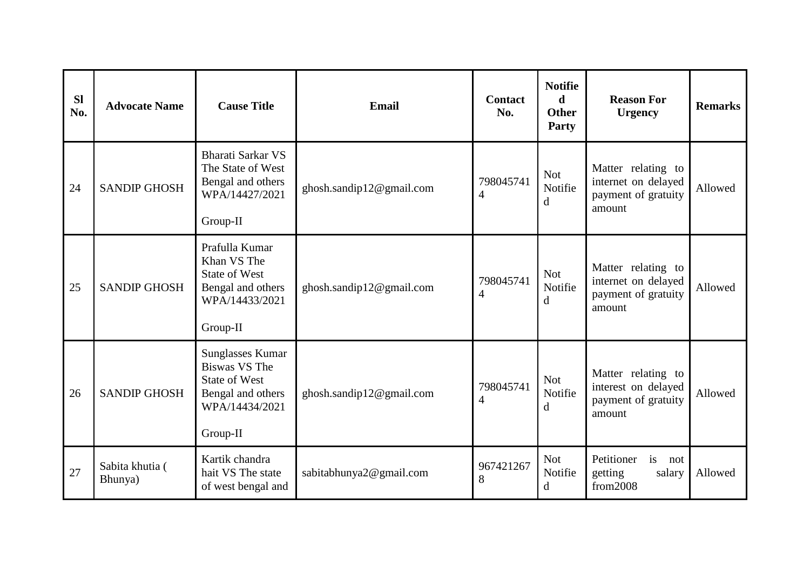| <b>Sl</b><br>No. | <b>Advocate Name</b>       | <b>Cause Title</b>                                                                                                  | Email                    | <b>Contact</b><br>No.       | <b>Notifie</b><br>d.<br><b>Other</b><br>Party | <b>Reason For</b><br><b>Urgency</b>                                        | <b>Remarks</b> |
|------------------|----------------------------|---------------------------------------------------------------------------------------------------------------------|--------------------------|-----------------------------|-----------------------------------------------|----------------------------------------------------------------------------|----------------|
| 24               | <b>SANDIP GHOSH</b>        | Bharati Sarkar VS<br>The State of West<br>Bengal and others<br>WPA/14427/2021<br>Group-II                           | ghosh.sandip12@gmail.com | 798045741<br>$\overline{4}$ | <b>Not</b><br>Notifie<br>d                    | Matter relating to<br>internet on delayed<br>payment of gratuity<br>amount | Allowed        |
| 25               | <b>SANDIP GHOSH</b>        | Prafulla Kumar<br>Khan VS The<br><b>State of West</b><br>Bengal and others<br>WPA/14433/2021<br>Group-II            | ghosh.sandip12@gmail.com | 798045741<br>$\overline{4}$ | <b>Not</b><br>Notifie<br>d                    | Matter relating to<br>internet on delayed<br>payment of gratuity<br>amount | Allowed        |
| 26               | <b>SANDIP GHOSH</b>        | <b>Sunglasses Kumar</b><br>Biswas VS The<br><b>State of West</b><br>Bengal and others<br>WPA/14434/2021<br>Group-II | ghosh.sandip12@gmail.com | 798045741<br>$\overline{4}$ | <b>Not</b><br>Notifie<br>d                    | Matter relating to<br>interest on delayed<br>payment of gratuity<br>amount | Allowed        |
| 27               | Sabita khutia (<br>Bhunya) | Kartik chandra<br>hait VS The state<br>of west bengal and                                                           | sabitabhunya2@gmail.com  | 967421267<br>8              | <b>Not</b><br>Notifie<br>d                    | Petitioner<br>is<br>not<br>getting<br>salary<br>from 2008                  | Allowed        |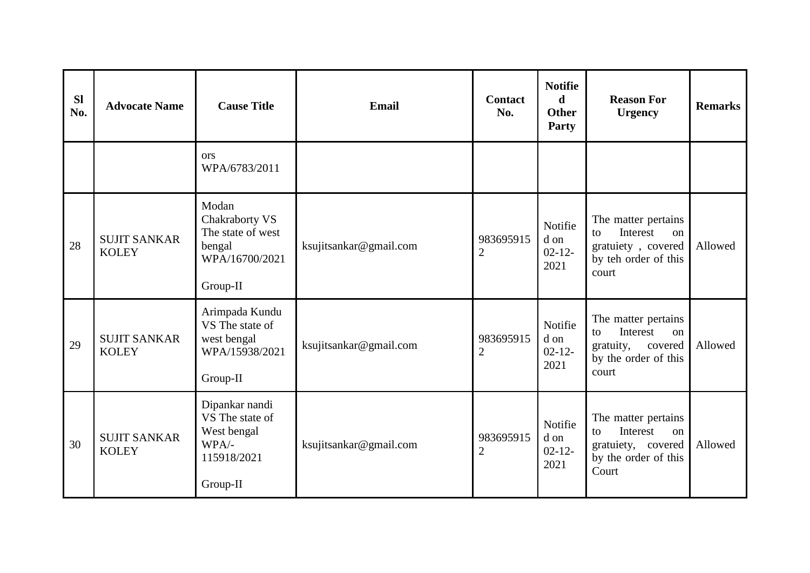| <b>SI</b><br>No. | <b>Advocate Name</b>                | <b>Cause Title</b>                                                                   | Email                  | <b>Contact</b><br>No.       | <b>Notifie</b><br>$\mathbf d$<br><b>Other</b><br><b>Party</b> | <b>Reason For</b><br><b>Urgency</b>                                                                  | <b>Remarks</b> |
|------------------|-------------------------------------|--------------------------------------------------------------------------------------|------------------------|-----------------------------|---------------------------------------------------------------|------------------------------------------------------------------------------------------------------|----------------|
|                  |                                     | <b>ors</b><br>WPA/6783/2011                                                          |                        |                             |                                                               |                                                                                                      |                |
| 28               | <b>SUJIT SANKAR</b><br><b>KOLEY</b> | Modan<br>Chakraborty VS<br>The state of west<br>bengal<br>WPA/16700/2021<br>Group-II | ksujitsankar@gmail.com | 983695915<br>$\overline{2}$ | Notifie<br>d on<br>$02 - 12 -$<br>2021                        | The matter pertains<br>Interest<br>to<br>on<br>gratuiety, covered<br>by teh order of this<br>court   | Allowed        |
| 29               | <b>SUJIT SANKAR</b><br><b>KOLEY</b> | Arimpada Kundu<br>VS The state of<br>west bengal<br>WPA/15938/2021<br>Group-II       | ksujitsankar@gmail.com | 983695915<br>$\overline{2}$ | Notifie<br>d on<br>$02 - 12 -$<br>2021                        | The matter pertains<br>Interest<br>to<br>on<br>gratuity,<br>covered<br>by the order of this<br>court | Allowed        |
| 30               | <b>SUJIT SANKAR</b><br><b>KOLEY</b> | Dipankar nandi<br>VS The state of<br>West bengal<br>WPA/-<br>115918/2021<br>Group-II | ksujitsankar@gmail.com | 983695915<br>$\overline{2}$ | Notifie<br>d on<br>$02 - 12 -$<br>2021                        | The matter pertains<br>Interest<br>to<br>on<br>gratuiety, covered<br>by the order of this<br>Court   | Allowed        |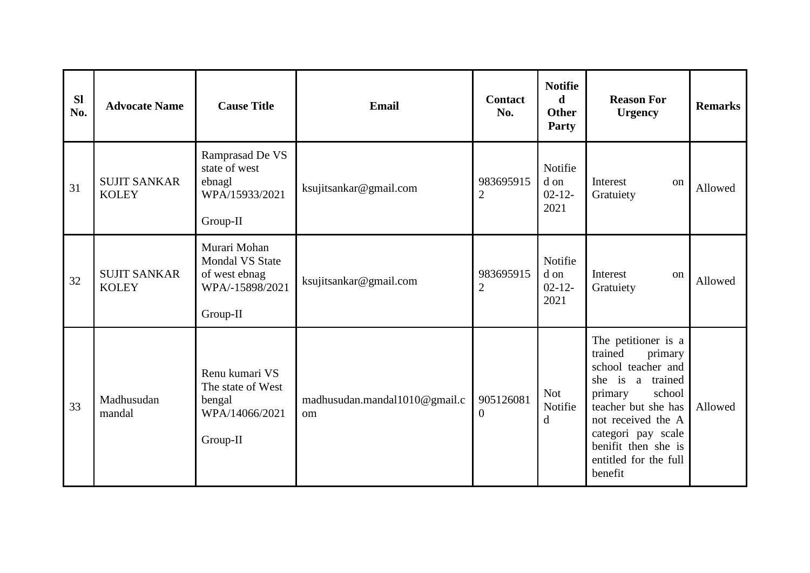| <b>SI</b><br>No. | <b>Advocate Name</b>                | <b>Cause Title</b>                                                                     | <b>Email</b>                                   | <b>Contact</b><br>No.       | <b>Notifie</b><br>$\mathbf d$<br><b>Other</b><br>Party | <b>Reason For</b><br><b>Urgency</b>                                                                                                                                                                                                          | <b>Remarks</b> |
|------------------|-------------------------------------|----------------------------------------------------------------------------------------|------------------------------------------------|-----------------------------|--------------------------------------------------------|----------------------------------------------------------------------------------------------------------------------------------------------------------------------------------------------------------------------------------------------|----------------|
| 31               | <b>SUJIT SANKAR</b><br><b>KOLEY</b> | Ramprasad De VS<br>state of west<br>ebnagl<br>WPA/15933/2021<br>Group-II               | ksujitsankar@gmail.com                         | 983695915<br>$\overline{2}$ | Notifie<br>d on<br>$02 - 12 -$<br>2021                 | Interest<br>on<br>Gratuiety                                                                                                                                                                                                                  | Allowed        |
| 32               | <b>SUJIT SANKAR</b><br><b>KOLEY</b> | Murari Mohan<br><b>Mondal VS State</b><br>of west ebnag<br>WPA/-15898/2021<br>Group-II | ksujitsankar@gmail.com                         | 983695915<br>$\overline{2}$ | Notifie<br>d on<br>$02 - 12$<br>2021                   | Interest<br>on<br>Gratuiety                                                                                                                                                                                                                  | Allowed        |
| 33               | Madhusudan<br>mandal                | Renu kumari VS<br>The state of West<br>bengal<br>WPA/14066/2021<br>Group-II            | madhusudan.mandal1010@gmail.c<br><sub>om</sub> | 905126081<br>$\overline{0}$ | <b>Not</b><br>Notifie<br>$\mathbf d$                   | The petitioner is a<br>trained<br>primary<br>school teacher and<br>is<br>a trained<br>she<br>school<br>primary<br>teacher but she has<br>not received the A<br>categori pay scale<br>benifit then she is<br>entitled for the full<br>benefit | Allowed        |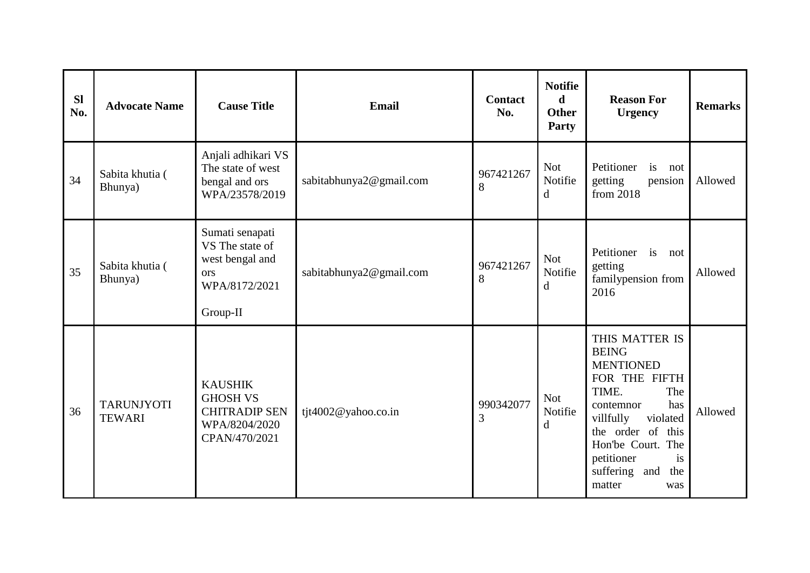| <b>Sl</b><br>No. | <b>Advocate Name</b>               | <b>Cause Title</b>                                                                          | Email                   | <b>Contact</b><br>No. | <b>Notifie</b><br>d<br><b>Other</b><br>Party | <b>Reason For</b><br><b>Urgency</b>                                                                                                                                                                                                     | <b>Remarks</b> |
|------------------|------------------------------------|---------------------------------------------------------------------------------------------|-------------------------|-----------------------|----------------------------------------------|-----------------------------------------------------------------------------------------------------------------------------------------------------------------------------------------------------------------------------------------|----------------|
| 34               | Sabita khutia (<br>Bhunya)         | Anjali adhikari VS<br>The state of west<br>bengal and ors<br>WPA/23578/2019                 | sabitabhunya2@gmail.com | 967421267<br>8        | <b>Not</b><br>Notifie<br>$\mathbf d$         | Petitioner<br>is not<br>getting<br>pension<br>from 2018                                                                                                                                                                                 | Allowed        |
| 35               | Sabita khutia (<br>Bhunya)         | Sumati senapati<br>VS The state of<br>west bengal and<br>ors<br>WPA/8172/2021<br>Group-II   | sabitabhunya2@gmail.com | 967421267<br>8        | <b>Not</b><br>Notifie<br>d                   | Petitioner is not<br>getting<br>familypension from<br>2016                                                                                                                                                                              | Allowed        |
| 36               | <b>TARUNJYOTI</b><br><b>TEWARI</b> | <b>KAUSHIK</b><br><b>GHOSH VS</b><br><b>CHITRADIP SEN</b><br>WPA/8204/2020<br>CPAN/470/2021 | tjt4002@yahoo.co.in     | 990342077<br>3        | <b>Not</b><br>Notifie<br>d                   | THIS MATTER IS<br><b>BEING</b><br><b>MENTIONED</b><br>FOR THE FIFTH<br>TIME.<br>The<br>contemnor<br>has<br>villfully<br>violated<br>the order of this<br>Hon'be Court. The<br>petitioner<br>is<br>suffering and<br>the<br>matter<br>was | Allowed        |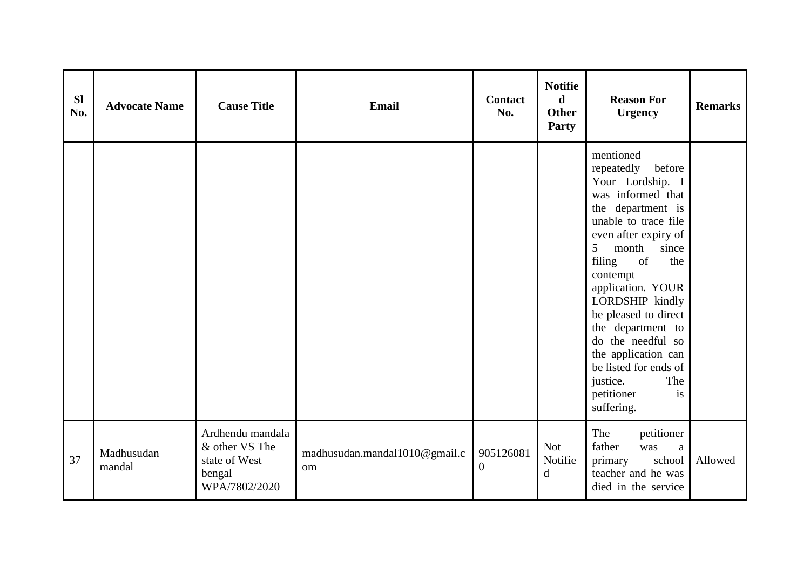| <b>SI</b><br>No. | <b>Advocate Name</b> | <b>Cause Title</b>                                                             | Email                               | <b>Contact</b><br>No.       | <b>Notifie</b><br>$\mathbf d$<br><b>Other</b><br>Party | <b>Reason For</b><br><b>Urgency</b>                                                                                                                                                                                                                                                                                                                                                                                      | <b>Remarks</b> |
|------------------|----------------------|--------------------------------------------------------------------------------|-------------------------------------|-----------------------------|--------------------------------------------------------|--------------------------------------------------------------------------------------------------------------------------------------------------------------------------------------------------------------------------------------------------------------------------------------------------------------------------------------------------------------------------------------------------------------------------|----------------|
|                  |                      |                                                                                |                                     |                             |                                                        | mentioned<br>before<br>repeatedly<br>Your Lordship. I<br>was informed that<br>the department is<br>unable to trace file<br>even after expiry of<br>5<br>month<br>since<br>of<br>filing<br>the<br>contempt<br>application. YOUR<br>LORDSHIP kindly<br>be pleased to direct<br>the department to<br>do the needful so<br>the application can<br>be listed for ends of<br>The<br>justice.<br>petitioner<br>is<br>suffering. |                |
| 37               | Madhusudan<br>mandal | Ardhendu mandala<br>& other VS The<br>state of West<br>bengal<br>WPA/7802/2020 | madhusudan.mandal1010@gmail.c<br>om | 905126081<br>$\overline{0}$ | <b>Not</b><br>Notifie<br>d                             | The<br>petitioner<br>father<br>was<br>a<br>primary<br>school<br>teacher and he was<br>died in the service                                                                                                                                                                                                                                                                                                                | Allowed        |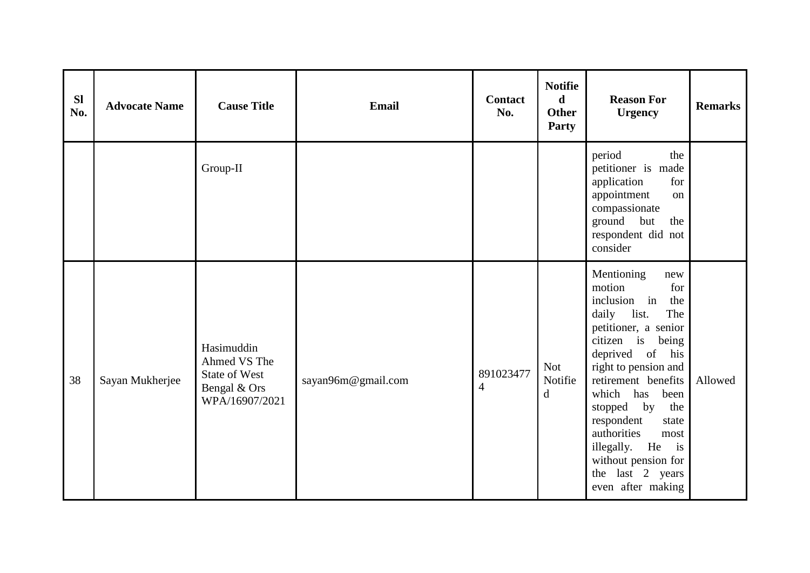| <b>Sl</b><br>No. | <b>Advocate Name</b> | <b>Cause Title</b>                                                            | Email              | <b>Contact</b><br>No.       | <b>Notifie</b><br>$\mathbf d$<br><b>Other</b><br>Party | <b>Reason For</b><br><b>Urgency</b>                                                                                                                                                                                                                                                                                                                                                              | <b>Remarks</b> |
|------------------|----------------------|-------------------------------------------------------------------------------|--------------------|-----------------------------|--------------------------------------------------------|--------------------------------------------------------------------------------------------------------------------------------------------------------------------------------------------------------------------------------------------------------------------------------------------------------------------------------------------------------------------------------------------------|----------------|
|                  |                      | Group-II                                                                      |                    |                             |                                                        | period<br>the<br>petitioner is made<br>application<br>for<br>appointment<br>on<br>compassionate<br>ground but<br>the<br>respondent did not<br>consider                                                                                                                                                                                                                                           |                |
| 38               | Sayan Mukherjee      | Hasimuddin<br>Ahmed VS The<br>State of West<br>Bengal & Ors<br>WPA/16907/2021 | sayan96m@gmail.com | 891023477<br>$\overline{4}$ | <b>Not</b><br>Notifie<br>d                             | Mentioning<br>new<br>motion<br>for<br>inclusion in<br>the<br>daily<br>list.<br>The<br>petitioner, a senior<br>citizen is being<br>deprived of<br>his<br>right to pension and<br>retirement benefits<br>which<br>has<br>been<br>stopped by<br>the<br>respondent<br>state<br>authorities<br>most<br>illegally. He<br>$\frac{1}{1}$<br>without pension for<br>the last 2 years<br>even after making | Allowed        |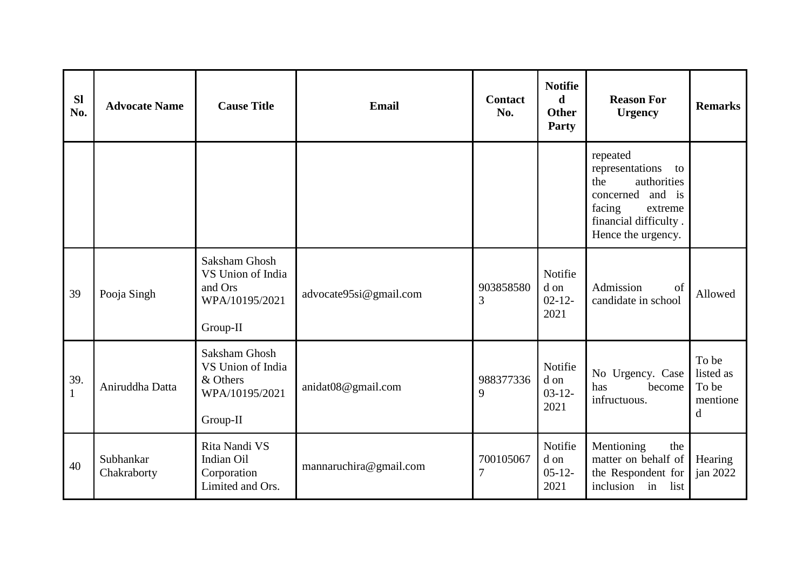| <b>Sl</b><br>No.    | <b>Advocate Name</b>     | <b>Cause Title</b>                                                           | <b>Email</b>           | <b>Contact</b><br>No.       | <b>Notifie</b><br>d<br><b>Other</b><br>Party | <b>Reason For</b><br><b>Urgency</b>                                                                                                             | <b>Remarks</b>                               |
|---------------------|--------------------------|------------------------------------------------------------------------------|------------------------|-----------------------------|----------------------------------------------|-------------------------------------------------------------------------------------------------------------------------------------------------|----------------------------------------------|
|                     |                          |                                                                              |                        |                             |                                              | repeated<br>representations<br>to<br>authorities<br>the<br>concerned and is<br>facing<br>extreme<br>financial difficulty.<br>Hence the urgency. |                                              |
| 39                  | Pooja Singh              | Saksham Ghosh<br>VS Union of India<br>and Ors<br>WPA/10195/2021<br>Group-II  | advocate95si@gmail.com | 903858580<br>3              | Notifie<br>d on<br>$02 - 12 -$<br>2021       | Admission<br>of<br>candidate in school                                                                                                          | Allowed                                      |
| 39.<br>$\mathbf{1}$ | Aniruddha Datta          | Saksham Ghosh<br>VS Union of India<br>& Others<br>WPA/10195/2021<br>Group-II | anidat08 $@$ gmail.com | 988377336<br>9              | Notifie<br>d on<br>$03 - 12 -$<br>2021       | No Urgency. Case<br>become<br>has<br>infructuous.                                                                                               | To be<br>listed as<br>To be<br>mentione<br>d |
| 40                  | Subhankar<br>Chakraborty | Rita Nandi VS<br>Indian Oil<br>Corporation<br>Limited and Ors.               | mannaruchira@gmail.com | 700105067<br>$\overline{7}$ | Notifie<br>d on<br>$05-12-$<br>2021          | Mentioning<br>the<br>matter on behalf of<br>the Respondent for<br>inclusion<br>in<br>list                                                       | Hearing<br>jan $2022$                        |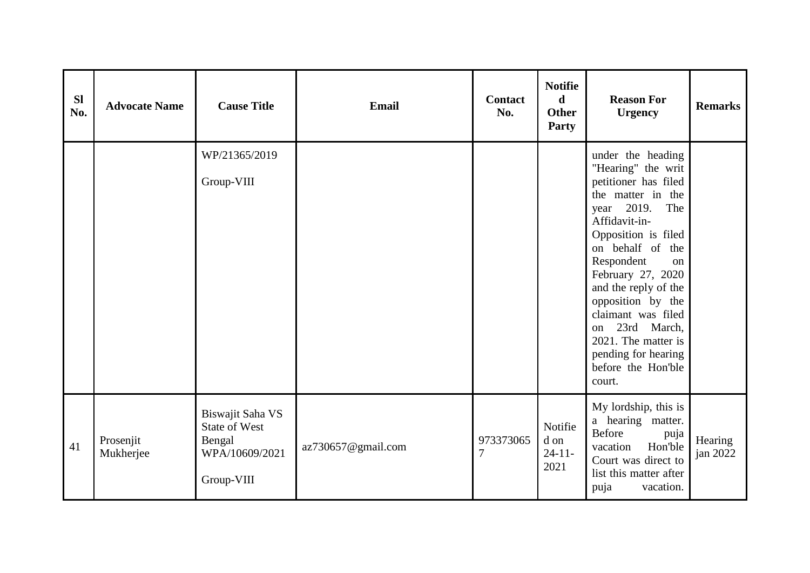| <b>Sl</b><br>No. | <b>Advocate Name</b>   | <b>Cause Title</b>                                                                 | Email              | <b>Contact</b><br>No.       | <b>Notifie</b><br>$\mathbf d$<br><b>Other</b><br>Party | <b>Reason For</b><br><b>Urgency</b>                                                                                                                                                                                                                                                                                                                                                  | <b>Remarks</b>      |
|------------------|------------------------|------------------------------------------------------------------------------------|--------------------|-----------------------------|--------------------------------------------------------|--------------------------------------------------------------------------------------------------------------------------------------------------------------------------------------------------------------------------------------------------------------------------------------------------------------------------------------------------------------------------------------|---------------------|
|                  |                        | WP/21365/2019<br>Group-VIII                                                        |                    |                             |                                                        | under the heading<br>"Hearing" the writ<br>petitioner has filed<br>the matter in the<br>year 2019.<br>The<br>Affidavit-in-<br>Opposition is filed<br>on behalf of the<br>Respondent<br>on<br>February 27, 2020<br>and the reply of the<br>opposition by the<br>claimant was filed<br>23rd March,<br>on<br>2021. The matter is<br>pending for hearing<br>before the Hon'ble<br>court. |                     |
| 41               | Prosenjit<br>Mukherjee | Biswajit Saha VS<br><b>State of West</b><br>Bengal<br>WPA/10609/2021<br>Group-VIII | az730657@gmail.com | 973373065<br>$\overline{7}$ | Notifie<br>d on<br>$24 - 11$<br>2021                   | My lordship, this is<br>a hearing matter.<br><b>Before</b><br>puja<br>vacation<br>Hon'ble<br>Court was direct to<br>list this matter after<br>puja<br>vacation.                                                                                                                                                                                                                      | Hearing<br>jan 2022 |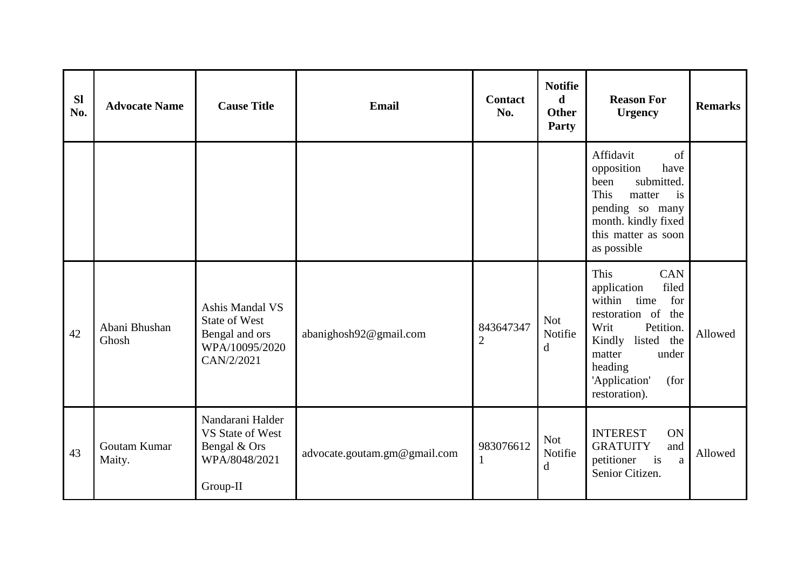| <b>Sl</b><br>No. | <b>Advocate Name</b>   | <b>Cause Title</b>                                                                        | <b>Email</b>                 | <b>Contact</b><br>No.       | <b>Notifie</b><br>d<br><b>Other</b><br>Party | <b>Reason For</b><br><b>Urgency</b>                                                                                                                                                                     | <b>Remarks</b> |
|------------------|------------------------|-------------------------------------------------------------------------------------------|------------------------------|-----------------------------|----------------------------------------------|---------------------------------------------------------------------------------------------------------------------------------------------------------------------------------------------------------|----------------|
|                  |                        |                                                                                           |                              |                             |                                              | Affidavit<br>of<br>opposition<br>have<br>submitted.<br>been<br>This<br>matter<br>is<br>pending so many<br>month. kindly fixed<br>this matter as soon<br>as possible                                     |                |
| 42               | Abani Bhushan<br>Ghosh | Ashis Mandal VS<br><b>State of West</b><br>Bengal and ors<br>WPA/10095/2020<br>CAN/2/2021 | abanighosh92@gmail.com       | 843647347<br>$\overline{2}$ | <b>Not</b><br>Notifie<br>d                   | CAN<br>This<br>filed<br>application<br>within<br>time<br>for<br>restoration of<br>the<br>Writ<br>Petition.<br>Kindly listed the<br>matter<br>under<br>heading<br>'Application'<br>(for<br>restoration). | Allowed        |
| 43               | Goutam Kumar<br>Maity. | Nandarani Halder<br>VS State of West<br>Bengal & Ors<br>WPA/8048/2021<br>Group-II         | advocate.goutam.gm@gmail.com | 983076612                   | <b>Not</b><br>Notifie<br>d                   | <b>INTEREST</b><br>ON<br><b>GRATUITY</b><br>and<br>is<br>petitioner<br>a<br>Senior Citizen.                                                                                                             | Allowed        |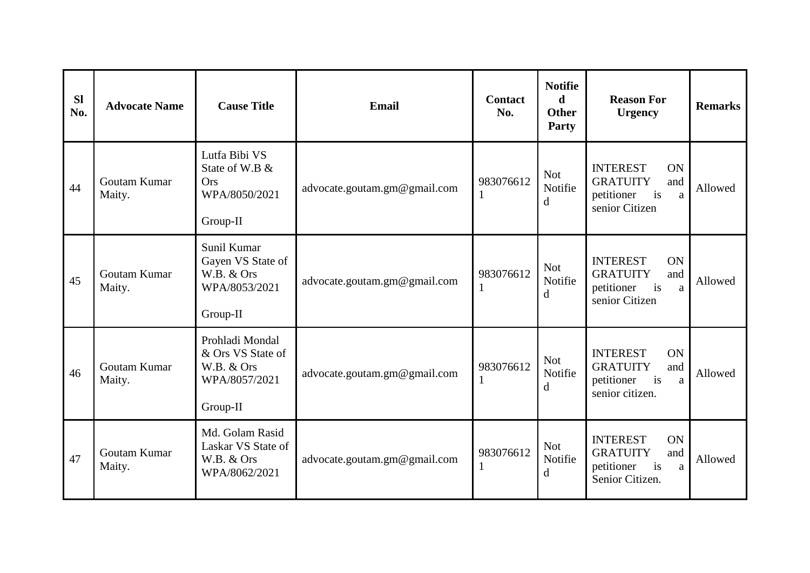| <b>SI</b><br>No. | <b>Advocate Name</b>   | <b>Cause Title</b>                                                              | Email                        | <b>Contact</b><br>No. | <b>Notifie</b><br>d<br><b>Other</b><br>Party | <b>Reason For</b><br><b>Urgency</b>                                                                            | <b>Remarks</b> |
|------------------|------------------------|---------------------------------------------------------------------------------|------------------------------|-----------------------|----------------------------------------------|----------------------------------------------------------------------------------------------------------------|----------------|
| 44               | Goutam Kumar<br>Maity. | Lutfa Bibi VS<br>State of W.B &<br><b>Ors</b><br>WPA/8050/2021<br>Group-II      | advocate.goutam.gm@gmail.com | 983076612             | <b>Not</b><br>Notifie<br>$\mathbf d$         | <b>INTEREST</b><br><b>ON</b><br><b>GRATUITY</b><br>and<br>i <sub>s</sub><br>petitioner<br>a<br>senior Citizen  | Allowed        |
| 45               | Goutam Kumar<br>Maity. | Sunil Kumar<br>Gayen VS State of<br>W.B. & Ors<br>WPA/8053/2021<br>Group-II     | advocate.goutam.gm@gmail.com | 983076612             | <b>Not</b><br>Notifie<br>$\mathbf d$         | <b>INTEREST</b><br>ON<br><b>GRATUITY</b><br>and<br>i <sub>s</sub><br>petitioner<br>a<br>senior Citizen         | Allowed        |
| 46               | Goutam Kumar<br>Maity. | Prohladi Mondal<br>& Ors VS State of<br>W.B. & Ors<br>WPA/8057/2021<br>Group-II | advocate.goutam.gm@gmail.com | 983076612             | <b>Not</b><br>Notifie<br>$\mathbf d$         | <b>INTEREST</b><br>ON<br><b>GRATUITY</b><br>and<br>i <sub>s</sub><br>petitioner<br>a<br>senior citizen.        | Allowed        |
| 47               | Goutam Kumar<br>Maity. | Md. Golam Rasid<br>Laskar VS State of<br>W.B. & Ors<br>WPA/8062/2021            | advocate.goutam.gm@gmail.com | 983076612             | <b>Not</b><br>Notifie<br>d                   | <b>INTEREST</b><br><b>ON</b><br><b>GRATUITY</b><br>and<br>i <sub>s</sub><br>petitioner<br>a<br>Senior Citizen. | Allowed        |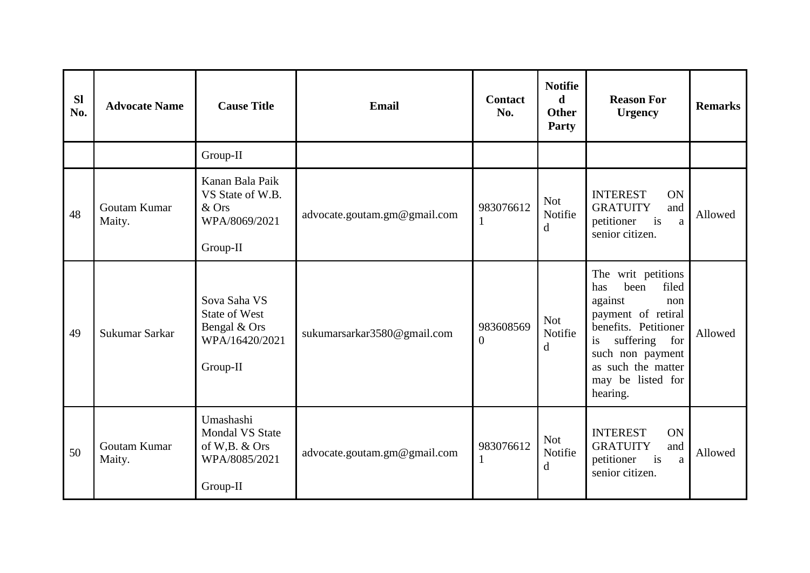| <b>Sl</b><br>No. | <b>Advocate Name</b>   | <b>Cause Title</b>                                                                 | <b>Email</b>                 | <b>Contact</b><br>No.     | <b>Notifie</b><br>d<br><b>Other</b><br>Party | <b>Reason For</b><br><b>Urgency</b>                                                                                                                                                                          | <b>Remarks</b> |
|------------------|------------------------|------------------------------------------------------------------------------------|------------------------------|---------------------------|----------------------------------------------|--------------------------------------------------------------------------------------------------------------------------------------------------------------------------------------------------------------|----------------|
|                  |                        | Group-II                                                                           |                              |                           |                                              |                                                                                                                                                                                                              |                |
| 48               | Goutam Kumar<br>Maity. | Kanan Bala Paik<br>VS State of W.B.<br>$&$ Ors<br>WPA/8069/2021<br>Group-II        | advocate.goutam.gm@gmail.com | 983076612<br>$\mathbf{1}$ | <b>Not</b><br>Notifie<br>$\mathbf d$         | <b>INTEREST</b><br><b>ON</b><br><b>GRATUITY</b><br>and<br>petitioner<br>is<br>a<br>senior citizen.                                                                                                           | Allowed        |
| 49               | Sukumar Sarkar         | Sova Saha VS<br><b>State of West</b><br>Bengal & Ors<br>WPA/16420/2021<br>Group-II | sukumarsarkar3580@gmail.com  | 983608569<br>$\Omega$     | <b>Not</b><br>Notifie<br>d                   | The writ petitions<br>filed<br>been<br>has<br>against<br>non<br>payment of retiral<br>benefits. Petitioner<br>suffering for<br>is<br>such non payment<br>as such the matter<br>may be listed for<br>hearing. | Allowed        |
| 50               | Goutam Kumar<br>Maity. | Umashashi<br>Mondal VS State<br>of W,B. & Ors<br>WPA/8085/2021<br>Group-II         | advocate.goutam.gm@gmail.com | 983076612                 | <b>Not</b><br>Notifie<br>d                   | <b>INTEREST</b><br>ON<br><b>GRATUITY</b><br>and<br>petitioner<br>is<br>a<br>senior citizen.                                                                                                                  | Allowed        |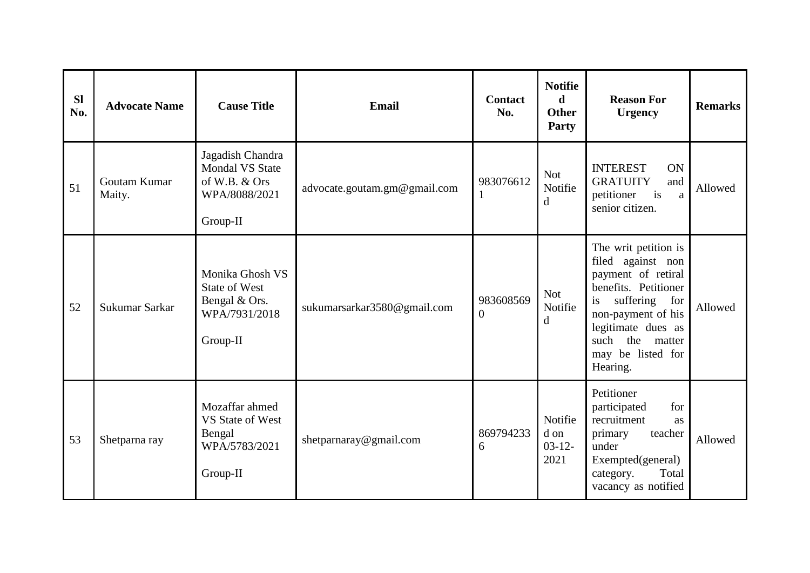| <b>SI</b><br>No. | <b>Advocate Name</b>   | <b>Cause Title</b>                                                                       | Email                        | <b>Contact</b><br>No. | <b>Notifie</b><br>d<br><b>Other</b><br><b>Party</b> | <b>Reason For</b><br><b>Urgency</b>                                                                                                                                                                                     | <b>Remarks</b> |
|------------------|------------------------|------------------------------------------------------------------------------------------|------------------------------|-----------------------|-----------------------------------------------------|-------------------------------------------------------------------------------------------------------------------------------------------------------------------------------------------------------------------------|----------------|
| 51               | Goutam Kumar<br>Maity. | Jagadish Chandra<br><b>Mondal VS State</b><br>of W.B. & Ors<br>WPA/8088/2021<br>Group-II | advocate.goutam.gm@gmail.com | 983076612             | <b>Not</b><br>Notifie<br>$\mathbf d$                | <b>INTEREST</b><br>ON<br><b>GRATUITY</b><br>and<br>is<br>petitioner<br>a<br>senior citizen.                                                                                                                             | Allowed        |
| 52               | Sukumar Sarkar         | Monika Ghosh VS<br><b>State of West</b><br>Bengal & Ors.<br>WPA/7931/2018<br>Group-II    | sukumarsarkar3580@gmail.com  | 983608569<br>$\Omega$ | <b>Not</b><br>Notifie<br>d                          | The writ petition is<br>filed against non<br>payment of retiral<br>benefits. Petitioner<br>suffering<br>for<br>is<br>non-payment of his<br>legitimate dues as<br>the<br>such<br>matter<br>may be listed for<br>Hearing. | Allowed        |
| 53               | Shetparna ray          | Mozaffar ahmed<br>VS State of West<br>Bengal<br>WPA/5783/2021<br>Group-II                | shetparnaray@gmail.com       | 869794233<br>6        | Notifie<br>d on<br>$03-12-$<br>2021                 | Petitioner<br>participated<br>for<br>recruitment<br>as<br>teacher<br>primary<br>under<br>Exempted(general)<br>Total<br>category.<br>vacancy as notified                                                                 | Allowed        |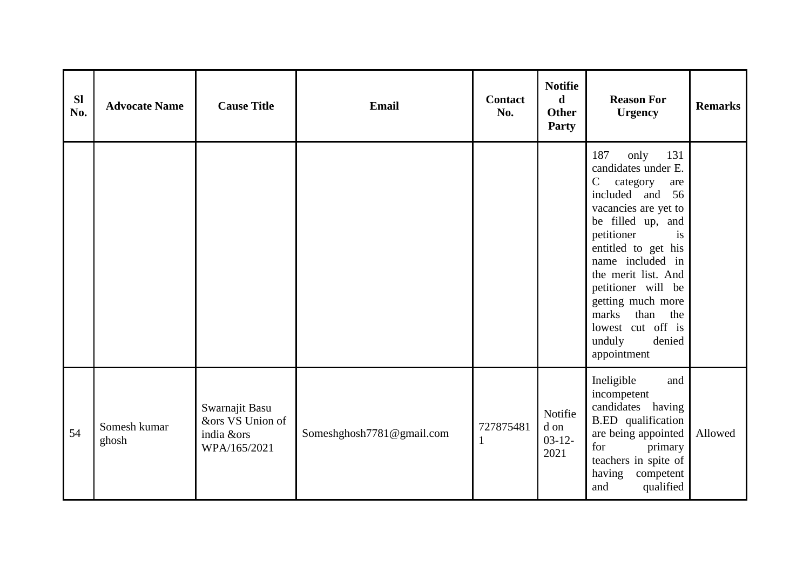| <b>Sl</b><br>No. | <b>Advocate Name</b>  | <b>Cause Title</b>                                               | Email                     | Contact<br>No. | <b>Notifie</b><br>$\mathbf d$<br><b>Other</b><br>Party | <b>Reason For</b><br><b>Urgency</b>                                                                                                                                                                                                                                                                                                                          | <b>Remarks</b> |
|------------------|-----------------------|------------------------------------------------------------------|---------------------------|----------------|--------------------------------------------------------|--------------------------------------------------------------------------------------------------------------------------------------------------------------------------------------------------------------------------------------------------------------------------------------------------------------------------------------------------------------|----------------|
|                  |                       |                                                                  |                           |                |                                                        | 187<br>only<br>131<br>candidates under E.<br>$\mathbf C$<br>category<br>are<br>included and 56<br>vacancies are yet to<br>be filled up, and<br>petitioner<br>is<br>entitled to get his<br>name included in<br>the merit list. And<br>petitioner will be<br>getting much more<br>marks<br>than<br>the<br>lowest cut off is<br>unduly<br>denied<br>appointment |                |
| 54               | Somesh kumar<br>ghosh | Swarnajit Basu<br>&ors VS Union of<br>india &ors<br>WPA/165/2021 | Someshghosh7781@gmail.com | 727875481      | Notifie<br>d on<br>$03-12-$<br>2021                    | Ineligible<br>and<br>incompetent<br>candidates having<br><b>B.ED</b> qualification<br>are being appointed<br>for<br>primary<br>teachers in spite of<br>having competent<br>qualified<br>and                                                                                                                                                                  | Allowed        |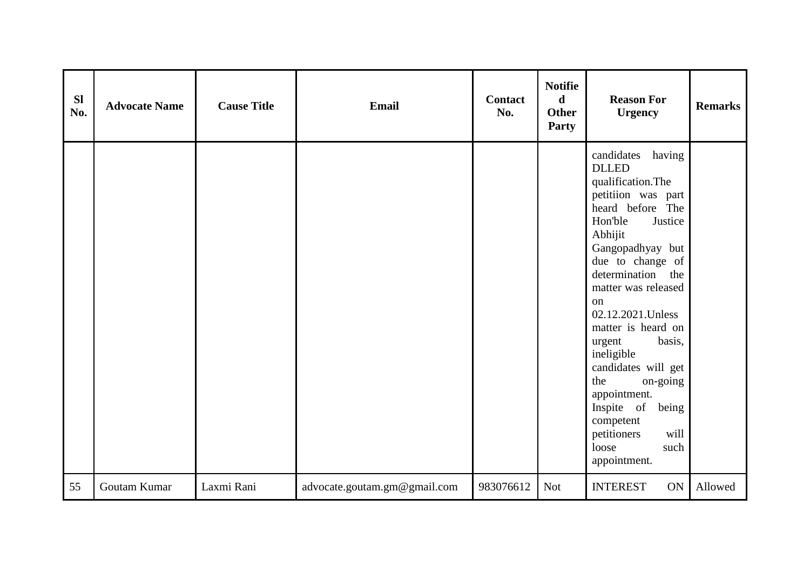| SI<br>No. | <b>Advocate Name</b> | <b>Cause Title</b> | Email                        | <b>Contact</b><br>No. | <b>Notifie</b><br>$\mathbf d$<br><b>Other</b><br>Party | <b>Reason For</b><br><b>Urgency</b>                                                                                                                                                                                                                                                                                                                                                                                                                                | <b>Remarks</b> |
|-----------|----------------------|--------------------|------------------------------|-----------------------|--------------------------------------------------------|--------------------------------------------------------------------------------------------------------------------------------------------------------------------------------------------------------------------------------------------------------------------------------------------------------------------------------------------------------------------------------------------------------------------------------------------------------------------|----------------|
|           |                      |                    |                              |                       |                                                        | candidates<br>having<br><b>DLLED</b><br>qualification.The<br>petitiion was part<br>heard before The<br>Hon'ble<br>Justice<br>Abhijit<br>Gangopadhyay but<br>due to change of<br>determination the<br>matter was released<br>on<br>02.12.2021. Unless<br>matter is heard on<br>basis,<br>urgent<br>ineligible<br>candidates will get<br>the<br>on-going<br>appointment.<br>Inspite of<br>being<br>competent<br>petitioners<br>will<br>loose<br>such<br>appointment. |                |
| 55        | Goutam Kumar         | Laxmi Rani         | advocate.goutam.gm@gmail.com | 983076612             | <b>Not</b>                                             | <b>INTEREST</b><br>ON                                                                                                                                                                                                                                                                                                                                                                                                                                              | Allowed        |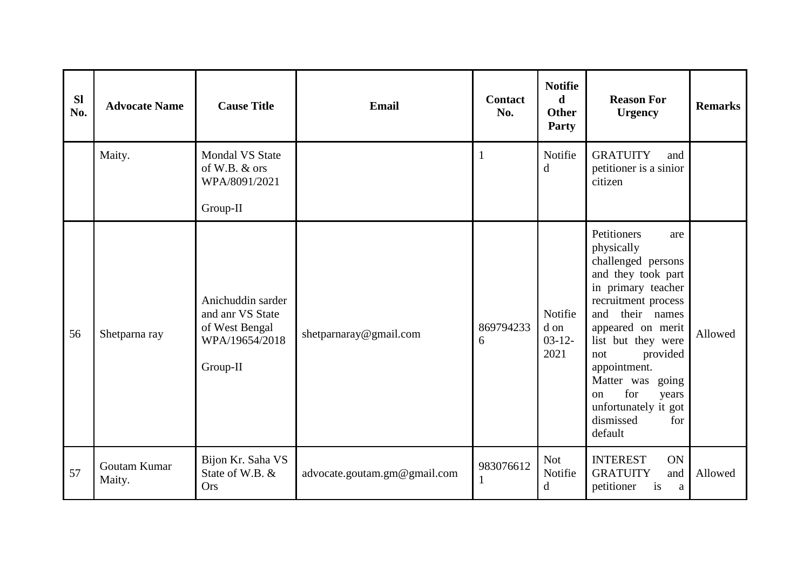| <b>SI</b><br>No. | <b>Advocate Name</b>   | <b>Cause Title</b>                                                                    | <b>Email</b>                 | <b>Contact</b><br>No. | <b>Notifie</b><br>d<br><b>Other</b><br><b>Party</b> | <b>Reason For</b><br><b>Urgency</b>                                                                                                                                                                                                                                                                                            | <b>Remarks</b> |
|------------------|------------------------|---------------------------------------------------------------------------------------|------------------------------|-----------------------|-----------------------------------------------------|--------------------------------------------------------------------------------------------------------------------------------------------------------------------------------------------------------------------------------------------------------------------------------------------------------------------------------|----------------|
|                  | Maity.                 | <b>Mondal VS State</b><br>of W.B. & ors<br>WPA/8091/2021<br>Group-II                  |                              | $\mathbf{1}$          | Notifie<br>d                                        | <b>GRATUITY</b><br>and<br>petitioner is a sinior<br>citizen                                                                                                                                                                                                                                                                    |                |
| 56               | Shetparna ray          | Anichuddin sarder<br>and anr VS State<br>of West Bengal<br>WPA/19654/2018<br>Group-II | shetparnaray@gmail.com       | 869794233<br>6        | Notifie<br>d on<br>$03-12-$<br>2021                 | Petitioners<br>are<br>physically<br>challenged persons<br>and they took part<br>in primary teacher<br>recruitment process<br>and<br>their names<br>appeared on merit<br>list but they were<br>provided<br>not<br>appointment.<br>Matter was going<br>for<br>on<br>years<br>unfortunately it got<br>dismissed<br>for<br>default | Allowed        |
| 57               | Goutam Kumar<br>Maity. | Bijon Kr. Saha VS<br>State of W.B. &<br>Ors                                           | advocate.goutam.gm@gmail.com | 983076612<br>1        | <b>Not</b><br>Notifie<br>d                          | <b>INTEREST</b><br>ON<br><b>GRATUITY</b><br>and<br>petitioner<br>is<br>a                                                                                                                                                                                                                                                       | Allowed        |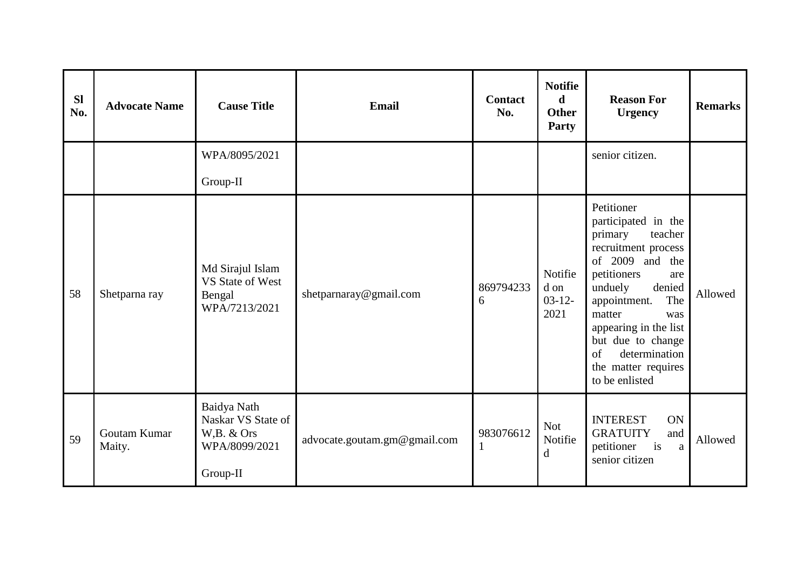| <b>Sl</b><br>No. | <b>Advocate Name</b>   | <b>Cause Title</b>                                                           | <b>Email</b>                 | <b>Contact</b><br>No.     | <b>Notifie</b><br>$\mathbf d$<br><b>Other</b><br>Party | <b>Reason For</b><br><b>Urgency</b>                                                                                                                                                                                                                                                                | <b>Remarks</b> |
|------------------|------------------------|------------------------------------------------------------------------------|------------------------------|---------------------------|--------------------------------------------------------|----------------------------------------------------------------------------------------------------------------------------------------------------------------------------------------------------------------------------------------------------------------------------------------------------|----------------|
|                  |                        | WPA/8095/2021                                                                |                              |                           |                                                        | senior citizen.                                                                                                                                                                                                                                                                                    |                |
|                  |                        | Group-II                                                                     |                              |                           |                                                        |                                                                                                                                                                                                                                                                                                    |                |
| 58               | Shetparna ray          | Md Sirajul Islam<br>VS State of West<br>Bengal<br>WPA/7213/2021              | shetparnaray@gmail.com       | 869794233<br>6            | Notifie<br>d on<br>$03 - 12 -$<br>2021                 | Petitioner<br>participated in the<br>primary<br>teacher<br>recruitment process<br>of 2009 and the<br>petitioners<br>are<br>denied<br>unduely<br>The<br>appointment.<br>matter<br>was<br>appearing in the list<br>but due to change<br>determination<br>of<br>the matter requires<br>to be enlisted | Allowed        |
| 59               | Goutam Kumar<br>Maity. | Baidya Nath<br>Naskar VS State of<br>W,B. & Ors<br>WPA/8099/2021<br>Group-II | advocate.goutam.gm@gmail.com | 983076612<br>$\mathbf{1}$ | <b>Not</b><br>Notifie<br>d                             | <b>INTEREST</b><br>ON<br><b>GRATUITY</b><br>and<br>i <sub>s</sub><br>petitioner<br>a<br>senior citizen                                                                                                                                                                                             | Allowed        |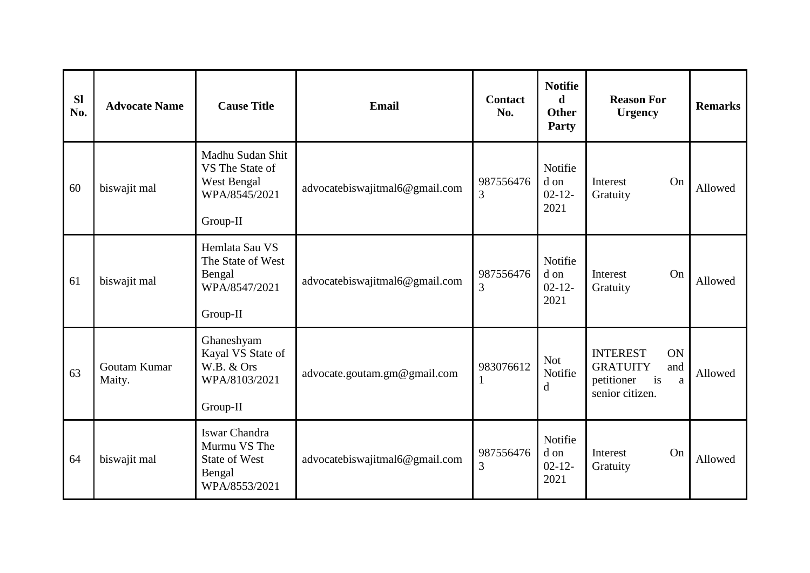| <b>Sl</b><br>No. | <b>Advocate Name</b>   | <b>Cause Title</b>                                                               | <b>Email</b>                   | <b>Contact</b><br>No. | <b>Notifie</b><br>d<br><b>Other</b><br><b>Party</b> | <b>Reason For</b><br><b>Urgency</b>                                                                     | <b>Remarks</b> |
|------------------|------------------------|----------------------------------------------------------------------------------|--------------------------------|-----------------------|-----------------------------------------------------|---------------------------------------------------------------------------------------------------------|----------------|
| 60               | biswajit mal           | Madhu Sudan Shit<br>VS The State of<br>West Bengal<br>WPA/8545/2021<br>Group-II  | advocatebiswajitmal6@gmail.com | 987556476<br>3        | Notifie<br>d on<br>$02 - 12 -$<br>2021              | Interest<br>On<br>Gratuity                                                                              | Allowed        |
| 61               | biswajit mal           | Hemlata Sau VS<br>The State of West<br>Bengal<br>WPA/8547/2021<br>Group-II       | advocatebiswajitmal6@gmail.com | 987556476<br>3        | Notifie<br>d on<br>$02 - 12 -$<br>2021              | Interest<br>On<br>Gratuity                                                                              | Allowed        |
| 63               | Goutam Kumar<br>Maity. | Ghaneshyam<br>Kayal VS State of<br>W.B. & Ors<br>WPA/8103/2021<br>Group-II       | advocate.goutam.gm@gmail.com   | 983076612             | <b>Not</b><br>Notifie<br>$\mathbf d$                | <b>INTEREST</b><br>ON<br><b>GRATUITY</b><br>and<br>i <sub>s</sub><br>petitioner<br>a<br>senior citizen. | Allowed        |
| 64               | biswajit mal           | Iswar Chandra<br>Murmu VS The<br><b>State of West</b><br>Bengal<br>WPA/8553/2021 | advocatebiswajitmal6@gmail.com | 987556476<br>3        | Notifie<br>d on<br>$02 - 12 -$<br>2021              | On<br>Interest<br>Gratuity                                                                              | Allowed        |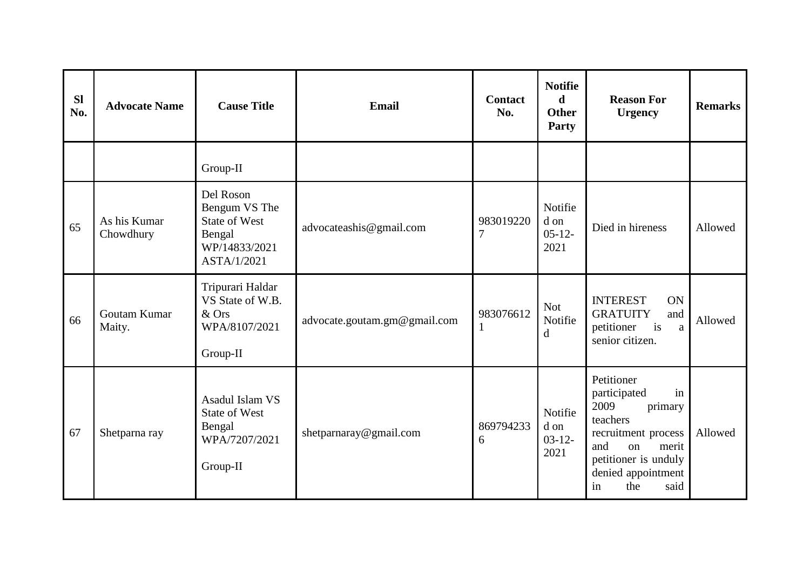| <b>Sl</b><br>No. | <b>Advocate Name</b>      | <b>Cause Title</b>                                                                           | <b>Email</b>                 | <b>Contact</b><br>No.       | <b>Notifie</b><br>d<br><b>Other</b><br>Party | <b>Reason For</b><br><b>Urgency</b>                                                                                                                                                        | <b>Remarks</b> |
|------------------|---------------------------|----------------------------------------------------------------------------------------------|------------------------------|-----------------------------|----------------------------------------------|--------------------------------------------------------------------------------------------------------------------------------------------------------------------------------------------|----------------|
|                  |                           | Group-II                                                                                     |                              |                             |                                              |                                                                                                                                                                                            |                |
| 65               | As his Kumar<br>Chowdhury | Del Roson<br>Bengum VS The<br><b>State of West</b><br>Bengal<br>WP/14833/2021<br>ASTA/1/2021 | advocateashis@gmail.com      | 983019220<br>$\overline{7}$ | Notifie<br>d on<br>$05-12-$<br>2021          | Died in hireness                                                                                                                                                                           | Allowed        |
| 66               | Goutam Kumar<br>Maity.    | Tripurari Haldar<br>VS State of W.B.<br>& Ors<br>WPA/8107/2021<br>Group-II                   | advocate.goutam.gm@gmail.com | 983076612                   | <b>Not</b><br>Notifie<br>d                   | <b>INTEREST</b><br>ON<br><b>GRATUITY</b><br>and<br>i <sub>s</sub><br>petitioner<br>a<br>senior citizen.                                                                                    | Allowed        |
| 67               | Shetparna ray             | Asadul Islam VS<br><b>State of West</b><br>Bengal<br>WPA/7207/2021<br>Group-II               | shetparnaray@gmail.com       | 869794233<br>6              | Notifie<br>d on<br>$03-12-$<br>2021          | Petitioner<br>in<br>participated<br>2009<br>primary<br>teachers<br>recruitment process<br>and<br><sub>on</sub><br>merit<br>petitioner is unduly<br>denied appointment<br>the<br>said<br>in | Allowed        |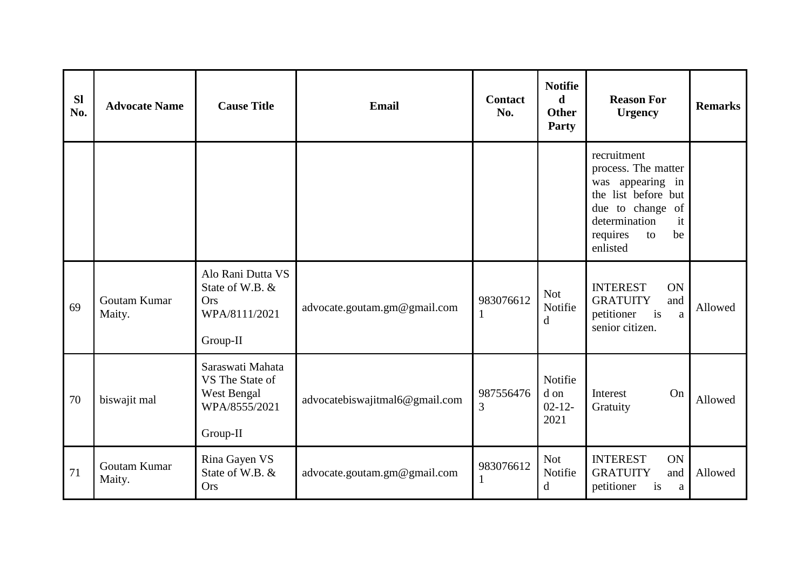| <b>Sl</b><br>No. | <b>Advocate Name</b>   | <b>Cause Title</b>                                                              | Email                          | <b>Contact</b><br>No. | <b>Notifie</b><br>d<br><b>Other</b><br>Party | <b>Reason For</b><br><b>Urgency</b>                                                                                                                             | <b>Remarks</b> |
|------------------|------------------------|---------------------------------------------------------------------------------|--------------------------------|-----------------------|----------------------------------------------|-----------------------------------------------------------------------------------------------------------------------------------------------------------------|----------------|
|                  |                        |                                                                                 |                                |                       |                                              | recruitment<br>process. The matter<br>was appearing in<br>the list before but<br>due to change<br>of<br>determination<br>it<br>requires<br>be<br>to<br>enlisted |                |
| 69               | Goutam Kumar<br>Maity. | Alo Rani Dutta VS<br>State of W.B. &<br><b>Ors</b><br>WPA/8111/2021<br>Group-II | advocate.goutam.gm@gmail.com   | 983076612             | <b>Not</b><br>Notifie<br>$\mathbf d$         | <b>INTEREST</b><br>ON<br><b>GRATUITY</b><br>and<br>is<br>petitioner<br>a<br>senior citizen.                                                                     | Allowed        |
| 70               | biswajit mal           | Saraswati Mahata<br>VS The State of<br>West Bengal<br>WPA/8555/2021<br>Group-II | advocatebiswajitmal6@gmail.com | 987556476<br>3        | Notifie<br>d on<br>$02 - 12 -$<br>2021       | On<br>Interest<br>Gratuity                                                                                                                                      | Allowed        |
| 71               | Goutam Kumar<br>Maity. | Rina Gayen VS<br>State of W.B. &<br><b>Ors</b>                                  | advocate.goutam.gm@gmail.com   | 983076612             | <b>Not</b><br>Notifie<br>d                   | <b>INTEREST</b><br>ON<br><b>GRATUITY</b><br>and<br>petitioner<br>is<br>a                                                                                        | Allowed        |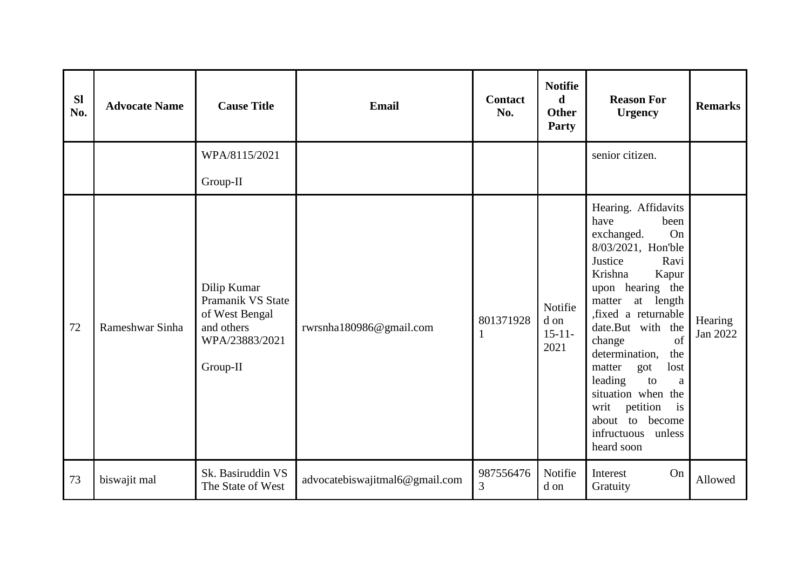| <b>Sl</b><br>No. | <b>Advocate Name</b> | <b>Cause Title</b>                                                                             | <b>Email</b>                   | <b>Contact</b><br>No.       | <b>Notifie</b><br>d<br><b>Other</b><br>Party | <b>Reason For</b><br><b>Urgency</b>                                                                                                                                                                                                                                                                                                                                                                            | <b>Remarks</b>      |
|------------------|----------------------|------------------------------------------------------------------------------------------------|--------------------------------|-----------------------------|----------------------------------------------|----------------------------------------------------------------------------------------------------------------------------------------------------------------------------------------------------------------------------------------------------------------------------------------------------------------------------------------------------------------------------------------------------------------|---------------------|
|                  |                      | WPA/8115/2021                                                                                  |                                |                             |                                              | senior citizen.                                                                                                                                                                                                                                                                                                                                                                                                |                     |
|                  |                      | Group-II                                                                                       |                                |                             |                                              |                                                                                                                                                                                                                                                                                                                                                                                                                |                     |
| 72               | Rameshwar Sinha      | Dilip Kumar<br>Pramanik VS State<br>of West Bengal<br>and others<br>WPA/23883/2021<br>Group-II | rwrsnha180986@gmail.com        | 801371928<br>$\mathbf{1}$   | Notifie<br>d on<br>$15 - 11 -$<br>2021       | Hearing. Affidavits<br>have<br>been<br>On<br>exchanged.<br>8/03/2021, Hon'ble<br>Justice<br>Ravi<br>Krishna<br>Kapur<br>upon hearing the<br>at length<br>matter<br>, fixed a returnable<br>date.But with the<br>of<br>change<br>determination,<br>the<br>matter<br>lost<br>got<br>leading<br>to<br>a<br>situation when the<br>writ<br>is<br>petition<br>about to become<br>infructuous<br>unless<br>heard soon | Hearing<br>Jan 2022 |
| 73               | biswajit mal         | Sk. Basiruddin VS<br>The State of West                                                         | advocatebiswajitmal6@gmail.com | 987556476<br>$\overline{3}$ | Notifie<br>d on                              | On<br>Interest<br>Gratuity                                                                                                                                                                                                                                                                                                                                                                                     | Allowed             |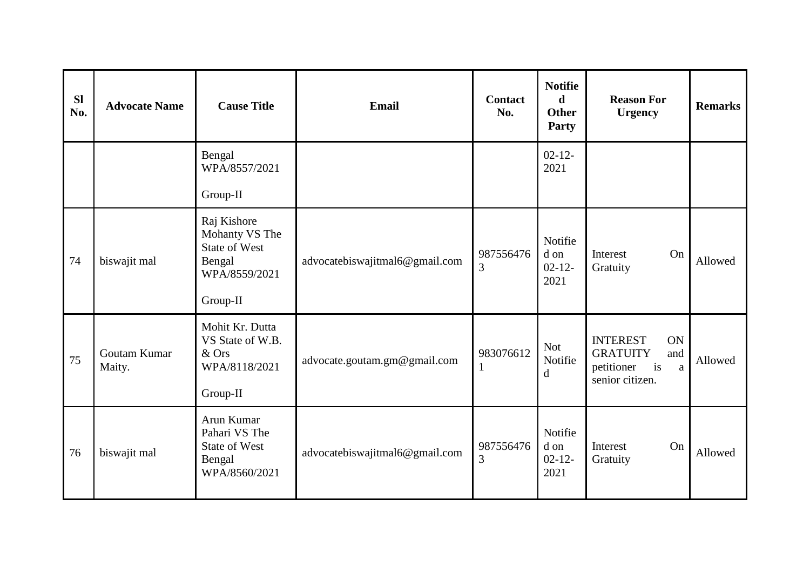| <b>Sl</b><br>No. | <b>Advocate Name</b>   | <b>Cause Title</b>                                                                           | Email                          | <b>Contact</b><br>No. | <b>Notifie</b><br>d<br><b>Other</b><br>Party | <b>Reason For</b><br><b>Urgency</b>                                                                     | <b>Remarks</b> |
|------------------|------------------------|----------------------------------------------------------------------------------------------|--------------------------------|-----------------------|----------------------------------------------|---------------------------------------------------------------------------------------------------------|----------------|
|                  |                        | Bengal<br>WPA/8557/2021<br>Group-II                                                          |                                |                       | $02 - 12 -$<br>2021                          |                                                                                                         |                |
| 74               | biswajit mal           | Raj Kishore<br>Mohanty VS The<br><b>State of West</b><br>Bengal<br>WPA/8559/2021<br>Group-II | advocatebiswajitmal6@gmail.com | 987556476<br>3        | Notifie<br>d on<br>$02 - 12 -$<br>2021       | On<br>Interest<br>Gratuity                                                                              | Allowed        |
| 75               | Goutam Kumar<br>Maity. | Mohit Kr. Dutta<br>VS State of W.B.<br>& Ors<br>WPA/8118/2021<br>Group-II                    | advocate.goutam.gm@gmail.com   | 983076612             | <b>Not</b><br>Notifie<br>d                   | <b>INTEREST</b><br>ON<br><b>GRATUITY</b><br>and<br>i <sub>s</sub><br>petitioner<br>a<br>senior citizen. | Allowed        |
| 76               | biswajit mal           | Arun Kumar<br>Pahari VS The<br><b>State of West</b><br>Bengal<br>WPA/8560/2021               | advocatebiswajitmal6@gmail.com | 987556476<br>3        | Notifie<br>d on<br>$02 - 12 -$<br>2021       | On<br>Interest<br>Gratuity                                                                              | Allowed        |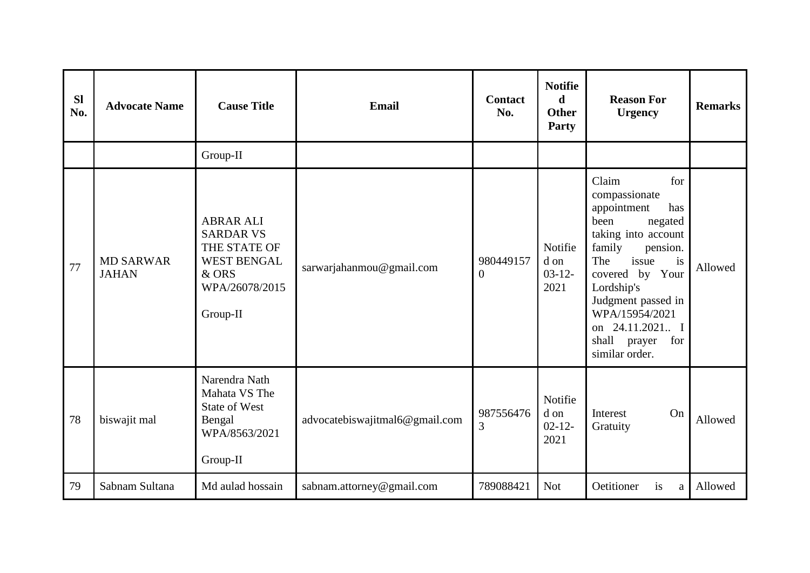| <b>Sl</b><br>No. | <b>Advocate Name</b>             | <b>Cause Title</b>                                                                                                | <b>Email</b>                   | <b>Contact</b><br>No.       | <b>Notifie</b><br>d<br>Other<br><b>Party</b> | <b>Reason For</b><br><b>Urgency</b>                                                                                                                                                                                                                                               | <b>Remarks</b> |
|------------------|----------------------------------|-------------------------------------------------------------------------------------------------------------------|--------------------------------|-----------------------------|----------------------------------------------|-----------------------------------------------------------------------------------------------------------------------------------------------------------------------------------------------------------------------------------------------------------------------------------|----------------|
|                  |                                  | Group-II                                                                                                          |                                |                             |                                              |                                                                                                                                                                                                                                                                                   |                |
| 77               | <b>MD SARWAR</b><br><b>JAHAN</b> | <b>ABRAR ALI</b><br><b>SARDAR VS</b><br>THE STATE OF<br><b>WEST BENGAL</b><br>& ORS<br>WPA/26078/2015<br>Group-II | sarwarjahanmou@gmail.com       | 980449157<br>$\overline{0}$ | Notifie<br>d on<br>$03 - 12 -$<br>2021       | Claim<br>for<br>compassionate<br>appointment<br>has<br>been<br>negated<br>taking into account<br>family<br>pension.<br>issue<br>The<br>is<br>covered by Your<br>Lordship's<br>Judgment passed in<br>WPA/15954/2021<br>on 24.11.2021 I<br>shall<br>for<br>prayer<br>similar order. | Allowed        |
| 78               | biswajit mal                     | Narendra Nath<br>Mahata VS The<br><b>State of West</b><br>Bengal<br>WPA/8563/2021<br>Group-II                     | advocatebiswajitmal6@gmail.com | 987556476<br>3              | Notifie<br>d on<br>$02 - 12$<br>2021         | On<br>Interest<br>Gratuity                                                                                                                                                                                                                                                        | Allowed        |
| 79               | Sabnam Sultana                   | Md aulad hossain                                                                                                  | sabnam.attorney@gmail.com      | 789088421                   | <b>Not</b>                                   | Oetitioner<br>is<br>a                                                                                                                                                                                                                                                             | Allowed        |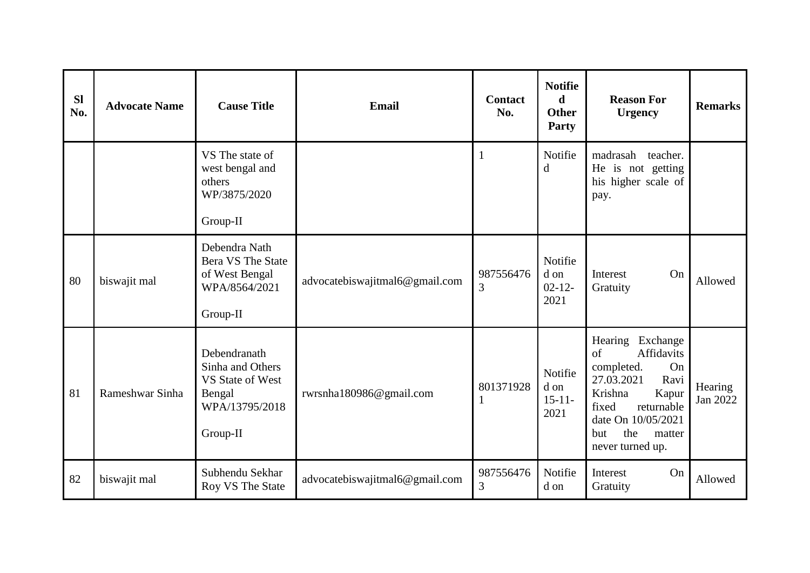| <b>SI</b><br>No. | <b>Advocate Name</b> | <b>Cause Title</b>                                                                           | <b>Email</b>                   | <b>Contact</b><br>No. | <b>Notifie</b><br>d<br><b>Other</b><br>Party | <b>Reason For</b><br><b>Urgency</b>                                                                                                                                                            | <b>Remarks</b>      |
|------------------|----------------------|----------------------------------------------------------------------------------------------|--------------------------------|-----------------------|----------------------------------------------|------------------------------------------------------------------------------------------------------------------------------------------------------------------------------------------------|---------------------|
|                  |                      | VS The state of<br>west bengal and<br>others<br>WP/3875/2020<br>Group-II                     |                                | $\mathbf{1}$          | Notifie<br>d                                 | madrasah<br>teacher.<br>He is not getting<br>his higher scale of<br>pay.                                                                                                                       |                     |
| 80               | biswajit mal         | Debendra Nath<br><b>Bera VS The State</b><br>of West Bengal<br>WPA/8564/2021<br>Group-II     | advocatebiswajitmal6@gmail.com | 987556476<br>3        | Notifie<br>d on<br>$02 - 12 -$<br>2021       | <b>Interest</b><br>On<br>Gratuity                                                                                                                                                              | Allowed             |
| 81               | Rameshwar Sinha      | Debendranath<br>Sinha and Others<br>VS State of West<br>Bengal<br>WPA/13795/2018<br>Group-II | rwrsnha180986@gmail.com        | 801371928             | Notifie<br>d on<br>$15 - 11 -$<br>2021       | Hearing<br>Exchange<br>Affidavits<br>of<br>completed.<br>On<br>27.03.2021<br>Ravi<br>Krishna<br>Kapur<br>fixed<br>returnable<br>date On 10/05/2021<br>the<br>but<br>matter<br>never turned up. | Hearing<br>Jan 2022 |
| 82               | biswajit mal         | Subhendu Sekhar<br>Roy VS The State                                                          | advocatebiswajitmal6@gmail.com | 987556476<br>3        | Notifie<br>d on                              | On<br>Interest<br>Gratuity                                                                                                                                                                     | Allowed             |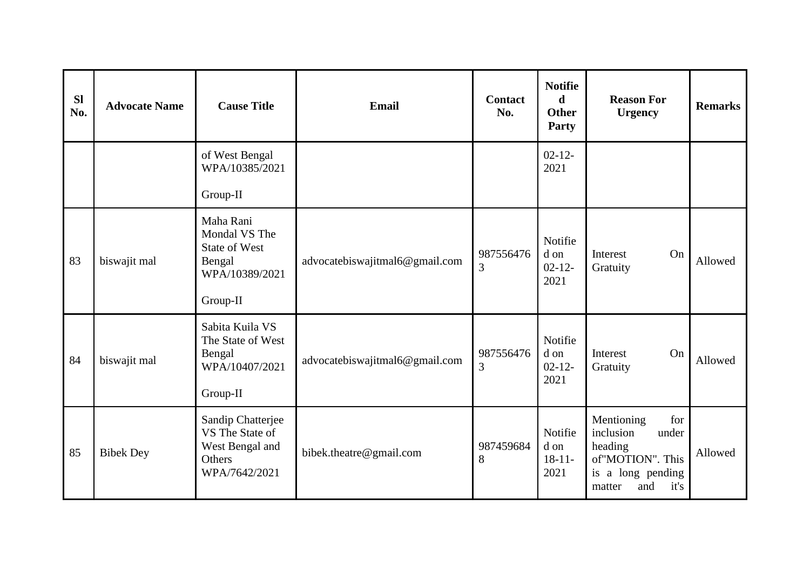| <b>Sl</b><br>No. | <b>Advocate Name</b> | <b>Cause Title</b>                                                                         | Email                          | <b>Contact</b><br>No. | <b>Notifie</b><br>d<br><b>Other</b><br>Party | <b>Reason For</b><br><b>Urgency</b>                                                                                  | <b>Remarks</b> |
|------------------|----------------------|--------------------------------------------------------------------------------------------|--------------------------------|-----------------------|----------------------------------------------|----------------------------------------------------------------------------------------------------------------------|----------------|
|                  |                      | of West Bengal<br>WPA/10385/2021<br>Group-II                                               |                                |                       | $02 - 12 -$<br>2021                          |                                                                                                                      |                |
| 83               | biswajit mal         | Maha Rani<br>Mondal VS The<br><b>State of West</b><br>Bengal<br>WPA/10389/2021<br>Group-II | advocatebiswajitmal6@gmail.com | 987556476<br>3        | Notifie<br>d on<br>$02 - 12 -$<br>2021       | On<br>Interest<br>Gratuity                                                                                           | Allowed        |
| 84               | biswajit mal         | Sabita Kuila VS<br>The State of West<br>Bengal<br>WPA/10407/2021<br>Group-II               | advocatebiswajitmal6@gmail.com | 987556476<br>3        | Notifie<br>d on<br>$02 - 12 -$<br>2021       | On<br>Interest<br>Gratuity                                                                                           | Allowed        |
| 85               | <b>Bibek Dey</b>     | Sandip Chatterjee<br>VS The State of<br>West Bengal and<br>Others<br>WPA/7642/2021         | bibek.theatre@gmail.com        | 987459684<br>8        | Notifie<br>d on<br>$18-11-$<br>2021          | for<br>Mentioning<br>inclusion<br>under<br>heading<br>of"MOTION". This<br>is a long pending<br>it's<br>and<br>matter | Allowed        |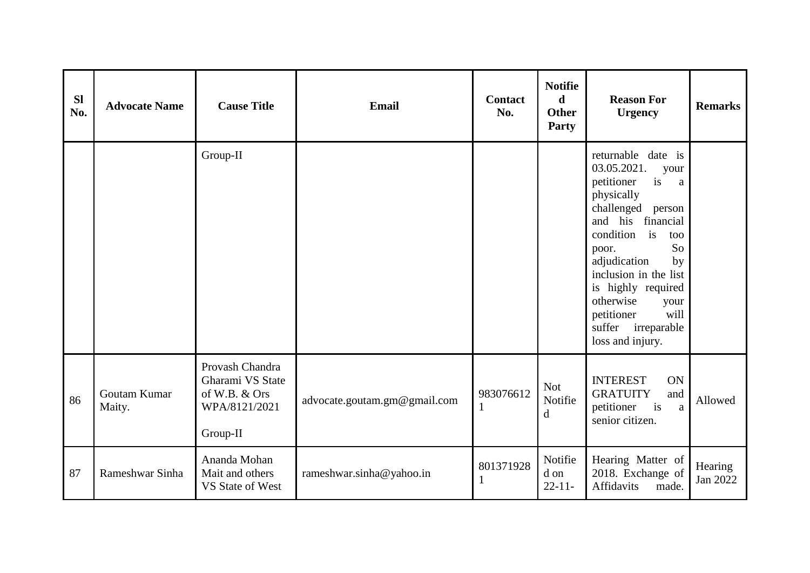| <b>Sl</b><br>No. | <b>Advocate Name</b>   | <b>Cause Title</b>                                                                | Email                        | <b>Contact</b><br>No. | <b>Notifie</b><br>$\mathbf d$<br><b>Other</b><br>Party | <b>Reason For</b><br><b>Urgency</b>                                                                                                                                                                                                                                                                                           | <b>Remarks</b>      |
|------------------|------------------------|-----------------------------------------------------------------------------------|------------------------------|-----------------------|--------------------------------------------------------|-------------------------------------------------------------------------------------------------------------------------------------------------------------------------------------------------------------------------------------------------------------------------------------------------------------------------------|---------------------|
|                  |                        | Group-II                                                                          |                              |                       |                                                        | returnable date is<br>03.05.2021.<br>your<br>petitioner<br>is<br>a<br>physically<br>challenged person<br>and his financial<br>condition<br>is<br>too<br>So<br>poor.<br>adjudication<br>by<br>inclusion in the list<br>is highly required<br>otherwise<br>your<br>petitioner<br>will<br>suffer irreparable<br>loss and injury. |                     |
| 86               | Goutam Kumar<br>Maity. | Provash Chandra<br>Gharami VS State<br>of W.B. & Ors<br>WPA/8121/2021<br>Group-II | advocate.goutam.gm@gmail.com | 983076612<br>1        | <b>Not</b><br>Notifie<br>$\mathbf d$                   | <b>INTEREST</b><br><b>ON</b><br><b>GRATUITY</b><br>and<br>petitioner<br>i <sub>s</sub><br>a<br>senior citizen.                                                                                                                                                                                                                | Allowed             |
| 87               | Rameshwar Sinha        | Ananda Mohan<br>Mait and others<br>VS State of West                               | rameshwar.sinha@yahoo.in     | 801371928<br>1        | Notifie<br>d on<br>$22 - 11$                           | Hearing Matter of<br>2018. Exchange of<br>Affidavits<br>made.                                                                                                                                                                                                                                                                 | Hearing<br>Jan 2022 |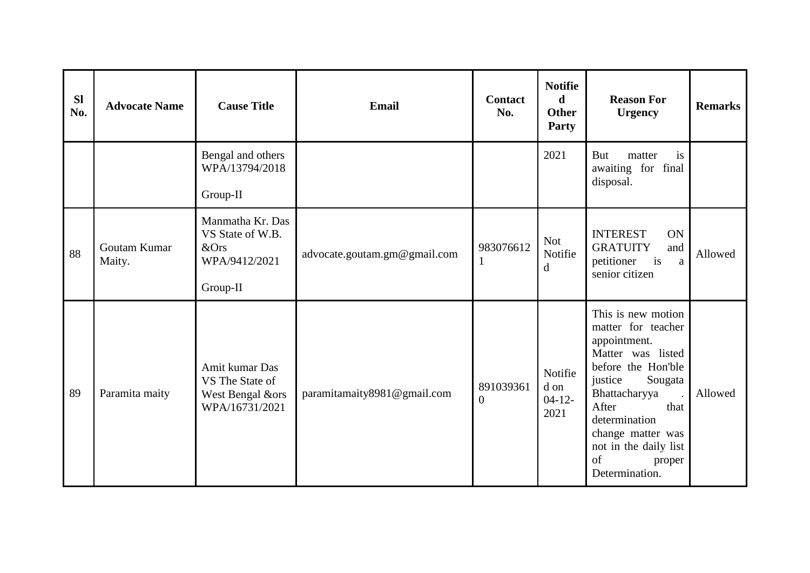| <b>SI</b><br>No. | <b>Advocate Name</b>   | <b>Cause Title</b>                                                        | <b>Email</b>                 | <b>Contact</b><br>No.       | <b>Notifie</b><br>$\mathbf d$<br><b>Other</b><br>Party | <b>Reason For</b><br><b>Urgency</b>                                                                                                                                                                                                                          | <b>Remarks</b> |
|------------------|------------------------|---------------------------------------------------------------------------|------------------------------|-----------------------------|--------------------------------------------------------|--------------------------------------------------------------------------------------------------------------------------------------------------------------------------------------------------------------------------------------------------------------|----------------|
|                  |                        | Bengal and others<br>WPA/13794/2018<br>Group-II                           |                              |                             | 2021                                                   | But<br>matter<br>is<br>awaiting for final<br>disposal.                                                                                                                                                                                                       |                |
| 88               | Goutam Kumar<br>Maity. | Manmatha Kr. Das<br>VS State of W.B.<br>&Ors<br>WPA/9412/2021<br>Group-II | advocate.goutam.gm@gmail.com | 983076612<br>1              | <b>Not</b><br>Notifie<br>d                             | <b>INTEREST</b><br>ON<br><b>GRATUITY</b><br>and<br>$\frac{1}{1}$<br>petitioner<br>a<br>senior citizen                                                                                                                                                        | Allowed        |
| 89               | Paramita maity         | Amit kumar Das<br>VS The State of<br>West Bengal &ors<br>WPA/16731/2021   | paramitamaity8981@gmail.com  | 891039361<br>$\overline{0}$ | Notifie<br>d on<br>$04-12-$<br>2021                    | This is new motion<br>matter for teacher<br>appointment.<br>Matter was listed<br>before the Hon'ble<br>justice<br>Sougata<br>Bhattacharyya<br>After<br>that<br>determination<br>change matter was<br>not in the daily list<br>of<br>proper<br>Determination. | Allowed        |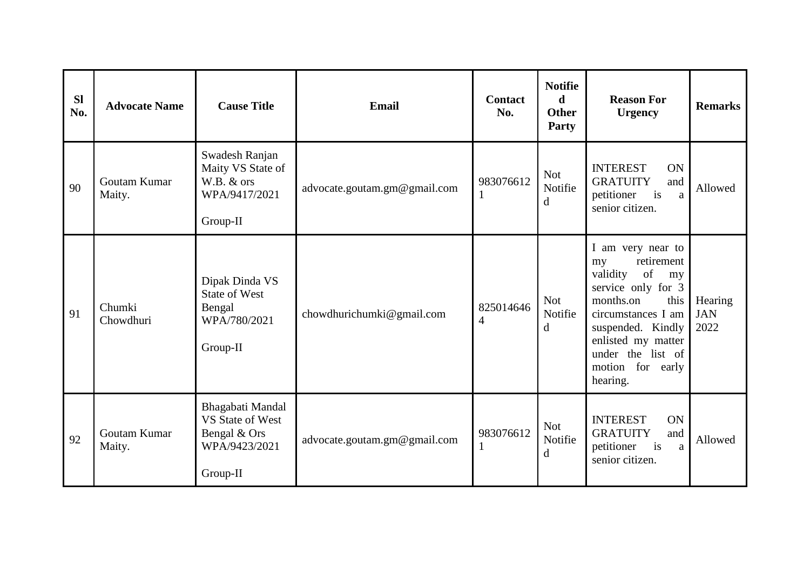| <b>SI</b><br>No. | <b>Advocate Name</b>   | <b>Cause Title</b>                                                                | <b>Email</b>                 | <b>Contact</b><br>No.       | <b>Notifie</b><br>$\mathbf d$<br><b>Other</b><br>Party | <b>Reason For</b><br><b>Urgency</b>                                                                                                                                                                                            | <b>Remarks</b>                |
|------------------|------------------------|-----------------------------------------------------------------------------------|------------------------------|-----------------------------|--------------------------------------------------------|--------------------------------------------------------------------------------------------------------------------------------------------------------------------------------------------------------------------------------|-------------------------------|
| 90               | Goutam Kumar<br>Maity. | Swadesh Ranjan<br>Maity VS State of<br>W.B. & ors<br>WPA/9417/2021<br>Group-II    | advocate.goutam.gm@gmail.com | 983076612                   | <b>Not</b><br>Notifie<br>d                             | <b>INTEREST</b><br>ON<br><b>GRATUITY</b><br>and<br>is<br>petitioner<br>a<br>senior citizen.                                                                                                                                    | Allowed                       |
| 91               | Chumki<br>Chowdhuri    | Dipak Dinda VS<br><b>State of West</b><br>Bengal<br>WPA/780/2021<br>Group-II      | chowdhurichumki@gmail.com    | 825014646<br>$\overline{4}$ | <b>Not</b><br>Notifie<br>d                             | I am very near to<br>retirement<br>my<br>of<br>validity<br>my<br>service only for 3<br>months.on<br>this<br>circumstances I am<br>suspended. Kindly<br>enlisted my matter<br>under the list of<br>motion for early<br>hearing. | Hearing<br><b>JAN</b><br>2022 |
| 92               | Goutam Kumar<br>Maity. | Bhagabati Mandal<br>VS State of West<br>Bengal & Ors<br>WPA/9423/2021<br>Group-II | advocate.goutam.gm@gmail.com | 983076612                   | <b>Not</b><br>Notifie<br>d                             | <b>INTEREST</b><br>ON<br><b>GRATUITY</b><br>and<br>i <sub>s</sub><br>petitioner<br>a<br>senior citizen.                                                                                                                        | Allowed                       |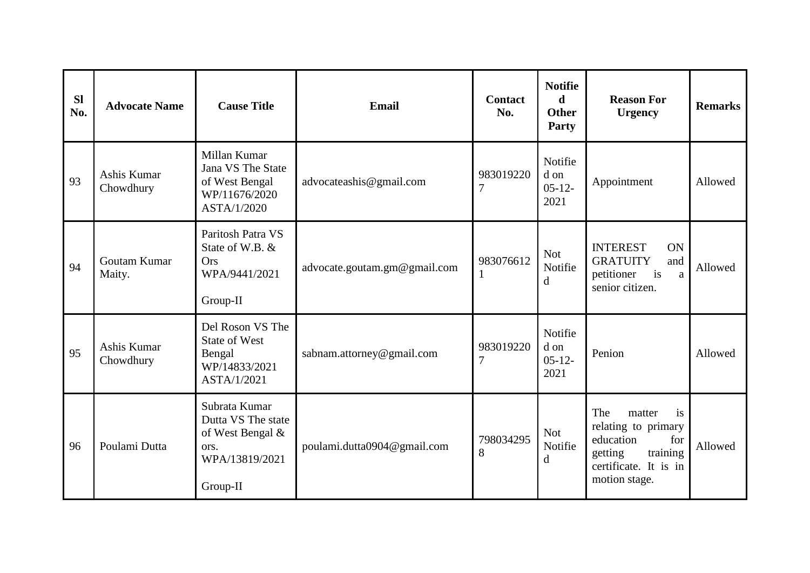| <b>SI</b><br>No. | <b>Advocate Name</b>     | <b>Cause Title</b>                                                                            | Email                        | <b>Contact</b><br>No.       | <b>Notifie</b><br>d<br><b>Other</b><br>Party | <b>Reason For</b><br><b>Urgency</b>                                                                                             | <b>Remarks</b> |
|------------------|--------------------------|-----------------------------------------------------------------------------------------------|------------------------------|-----------------------------|----------------------------------------------|---------------------------------------------------------------------------------------------------------------------------------|----------------|
| 93               | Ashis Kumar<br>Chowdhury | Millan Kumar<br>Jana VS The State<br>of West Bengal<br>WP/11676/2020<br>ASTA/1/2020           | advocateashis@gmail.com      | 983019220<br>$\overline{7}$ | Notifie<br>d on<br>$05-12-$<br>2021          | Appointment                                                                                                                     | Allowed        |
| 94               | Goutam Kumar<br>Maity.   | Paritosh Patra VS<br>State of W.B. &<br><b>Ors</b><br>WPA/9441/2021<br>Group-II               | advocate.goutam.gm@gmail.com | 983076612                   | <b>Not</b><br>Notifie<br>d                   | <b>INTEREST</b><br>ON<br><b>GRATUITY</b><br>and<br>i <sub>s</sub><br>petitioner<br>a<br>senior citizen.                         | Allowed        |
| 95               | Ashis Kumar<br>Chowdhury | Del Roson VS The<br><b>State of West</b><br>Bengal<br>WP/14833/2021<br>ASTA/1/2021            | sabnam.attorney@gmail.com    | 983019220<br>7              | Notifie<br>d on<br>$05 - 12 -$<br>2021       | Penion                                                                                                                          | Allowed        |
| 96               | Poulami Dutta            | Subrata Kumar<br>Dutta VS The state<br>of West Bengal &<br>ors.<br>WPA/13819/2021<br>Group-II | poulami.dutta0904@gmail.com  | 798034295<br>8              | <b>Not</b><br>Notifie<br>d                   | The<br>matter<br>is<br>relating to primary<br>education<br>for<br>training<br>getting<br>certificate. It is in<br>motion stage. | Allowed        |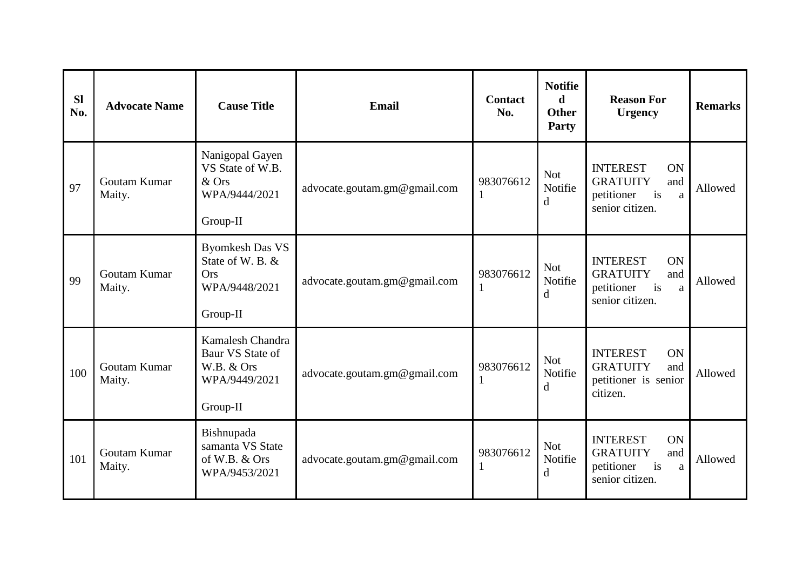| <b>Sl</b><br>No. | <b>Advocate Name</b>   | <b>Cause Title</b>                                                                    | Email                        | <b>Contact</b><br>No. | <b>Notifie</b><br>d<br><b>Other</b><br>Party | <b>Reason For</b><br><b>Urgency</b>                                                                            | <b>Remarks</b> |
|------------------|------------------------|---------------------------------------------------------------------------------------|------------------------------|-----------------------|----------------------------------------------|----------------------------------------------------------------------------------------------------------------|----------------|
| 97               | Goutam Kumar<br>Maity. | Nanigopal Gayen<br>VS State of W.B.<br>& Ors<br>WPA/9444/2021<br>Group-II             | advocate.goutam.gm@gmail.com | 983076612             | <b>Not</b><br>Notifie<br>$\mathbf d$         | <b>INTEREST</b><br>ON<br><b>GRATUITY</b><br>and<br>i <sub>s</sub><br>petitioner<br>a<br>senior citizen.        | Allowed        |
| 99               | Goutam Kumar<br>Maity. | <b>Byomkesh Das VS</b><br>State of W. B. &<br><b>Ors</b><br>WPA/9448/2021<br>Group-II | advocate.goutam.gm@gmail.com | 983076612             | <b>Not</b><br>Notifie<br>d                   | <b>INTEREST</b><br><b>ON</b><br><b>GRATUITY</b><br>and<br>i <sub>s</sub><br>petitioner<br>a<br>senior citizen. | Allowed        |
| 100              | Goutam Kumar<br>Maity. | Kamalesh Chandra<br>Baur VS State of<br>W.B. & Ors<br>WPA/9449/2021<br>Group-II       | advocate.goutam.gm@gmail.com | 983076612             | <b>Not</b><br>Notifie<br>d                   | <b>INTEREST</b><br>ON<br><b>GRATUITY</b><br>and<br>petitioner is senior<br>citizen.                            | Allowed        |
| 101              | Goutam Kumar<br>Maity. | Bishnupada<br>samanta VS State<br>of W.B. & Ors<br>WPA/9453/2021                      | advocate.goutam.gm@gmail.com | 983076612             | <b>Not</b><br>Notifie<br>d                   | <b>INTEREST</b><br>ON<br><b>GRATUITY</b><br>and<br>is<br>petitioner<br>a<br>senior citizen.                    | Allowed        |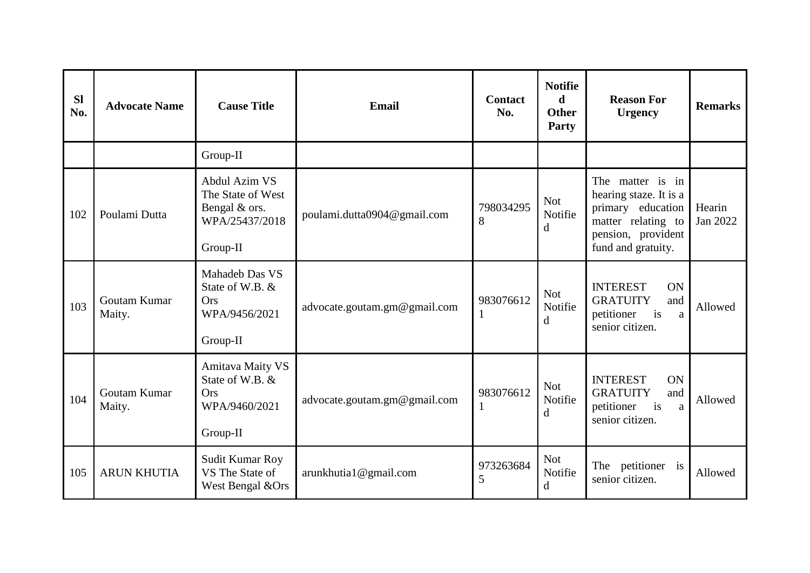| <b>Sl</b><br>No. | <b>Advocate Name</b>   | <b>Cause Title</b>                                                                    | Email                        | <b>Contact</b><br>No. | <b>Notifie</b><br>d<br><b>Other</b><br>Party | <b>Reason For</b><br><b>Urgency</b>                                                                                               | <b>Remarks</b>     |
|------------------|------------------------|---------------------------------------------------------------------------------------|------------------------------|-----------------------|----------------------------------------------|-----------------------------------------------------------------------------------------------------------------------------------|--------------------|
|                  |                        | Group-II                                                                              |                              |                       |                                              |                                                                                                                                   |                    |
| 102              | Poulami Dutta          | Abdul Azim VS<br>The State of West<br>Bengal & ors.<br>WPA/25437/2018<br>Group-II     | poulami.dutta0904@gmail.com  | 798034295<br>8        | <b>Not</b><br>Notifie<br>d                   | The matter is in<br>hearing staze. It is a<br>primary education<br>matter relating to<br>pension, provident<br>fund and gratuity. | Hearin<br>Jan 2022 |
| 103              | Goutam Kumar<br>Maity. | Mahadeb Das VS<br>State of W.B. &<br><b>Ors</b><br>WPA/9456/2021<br>Group-II          | advocate.goutam.gm@gmail.com | 983076612             | <b>Not</b><br>Notifie<br>d                   | <b>INTEREST</b><br>ON<br><b>GRATUITY</b><br>and<br>petitioner<br>is<br>a<br>senior citizen.                                       | Allowed            |
| 104              | Goutam Kumar<br>Maity. | <b>Amitava Maity VS</b><br>State of W.B. &<br><b>Ors</b><br>WPA/9460/2021<br>Group-II | advocate.goutam.gm@gmail.com | 983076612             | <b>Not</b><br>Notifie<br>d                   | <b>INTEREST</b><br>ON<br><b>GRATUITY</b><br>and<br>petitioner<br>is<br>a<br>senior citizen.                                       | Allowed            |
| 105              | <b>ARUN KHUTIA</b>     | Sudit Kumar Roy<br>VS The State of<br>West Bengal &Ors                                | arunkhutia1@gmail.com        | 973263684<br>5        | <b>Not</b><br>Notifie<br>d                   | The petitioner<br>$\frac{1}{1}$<br>senior citizen.                                                                                | Allowed            |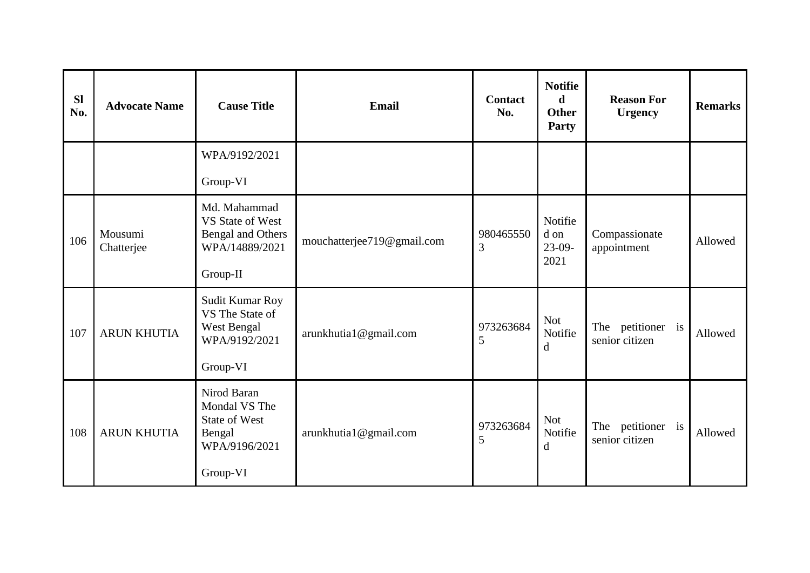| <b>Sl</b><br>No. | <b>Advocate Name</b>  | <b>Cause Title</b>                                                                          | <b>Email</b>               | <b>Contact</b><br>No. | <b>Notifie</b><br>$\mathbf d$<br><b>Other</b><br>Party | <b>Reason For</b><br><b>Urgency</b>    | <b>Remarks</b> |
|------------------|-----------------------|---------------------------------------------------------------------------------------------|----------------------------|-----------------------|--------------------------------------------------------|----------------------------------------|----------------|
|                  |                       | WPA/9192/2021                                                                               |                            |                       |                                                        |                                        |                |
|                  |                       | Group-VI                                                                                    |                            |                       |                                                        |                                        |                |
| 106              | Mousumi<br>Chatterjee | Md. Mahammad<br>VS State of West<br><b>Bengal and Others</b><br>WPA/14889/2021<br>Group-II  | mouchatterjee719@gmail.com | 980465550<br>3        | Notifie<br>d on<br>$23-09-$<br>2021                    | Compassionate<br>appointment           | Allowed        |
| 107              | <b>ARUN KHUTIA</b>    | Sudit Kumar Roy<br>VS The State of<br>West Bengal<br>WPA/9192/2021<br>Group-VI              | arunkhutia1@gmail.com      | 973263684<br>5        | <b>Not</b><br>Notifie<br>d                             | petitioner is<br>The<br>senior citizen | Allowed        |
| 108              | <b>ARUN KHUTIA</b>    | Nirod Baran<br>Mondal VS The<br><b>State of West</b><br>Bengal<br>WPA/9196/2021<br>Group-VI | arunkhutia1@gmail.com      | 973263684<br>5        | <b>Not</b><br>Notifie<br>d                             | The petitioner<br>is<br>senior citizen | Allowed        |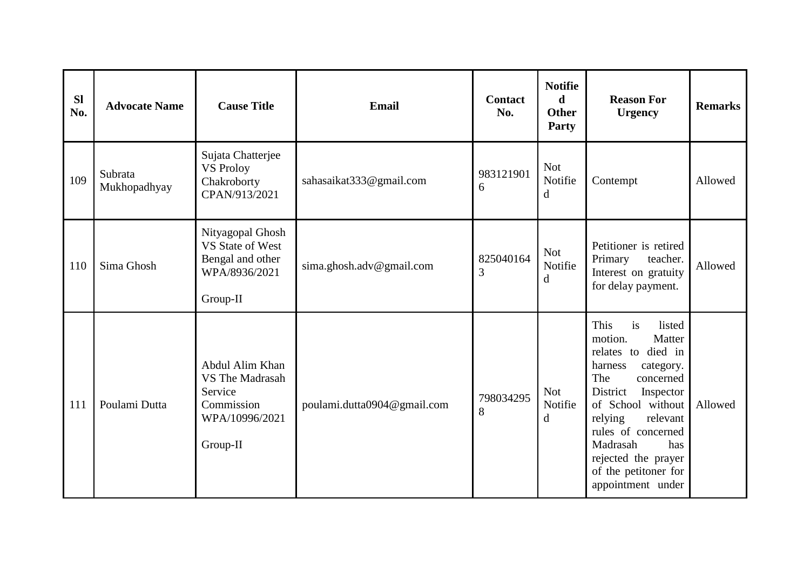| <b>Sl</b><br>No. | <b>Advocate Name</b>    | <b>Cause Title</b>                                                                               | Email                       | <b>Contact</b><br>No. | <b>Notifie</b><br>d<br><b>Other</b><br>Party | <b>Reason For</b><br><b>Urgency</b>                                                                                                                                                                                                                                                           | <b>Remarks</b> |
|------------------|-------------------------|--------------------------------------------------------------------------------------------------|-----------------------------|-----------------------|----------------------------------------------|-----------------------------------------------------------------------------------------------------------------------------------------------------------------------------------------------------------------------------------------------------------------------------------------------|----------------|
| 109              | Subrata<br>Mukhopadhyay | Sujata Chatterjee<br><b>VS Proloy</b><br>Chakroborty<br>CPAN/913/2021                            | sahasaikat333@gmail.com     | 983121901<br>6        | <b>Not</b><br>Notifie<br>$\mathbf d$         | Contempt                                                                                                                                                                                                                                                                                      | Allowed        |
| 110              | Sima Ghosh              | Nityagopal Ghosh<br>VS State of West<br>Bengal and other<br>WPA/8936/2021<br>Group-II            | sima.ghosh.adv@gmail.com    | 825040164<br>3        | <b>Not</b><br>Notifie<br>d                   | Petitioner is retired<br>Primary<br>teacher.<br>Interest on gratuity<br>for delay payment.                                                                                                                                                                                                    | Allowed        |
| 111              | Poulami Dutta           | Abdul Alim Khan<br><b>VS The Madrasah</b><br>Service<br>Commission<br>WPA/10996/2021<br>Group-II | poulami.dutta0904@gmail.com | 798034295<br>8        | <b>Not</b><br>Notifie<br>d                   | is<br>This<br>listed<br>motion.<br>Matter<br>relates to died in<br>harness<br>category.<br>The<br>concerned<br>District<br>Inspector<br>of School without<br>relying<br>relevant<br>rules of concerned<br>Madrasah<br>has<br>rejected the prayer<br>of the petitoner for<br>appointment under | Allowed        |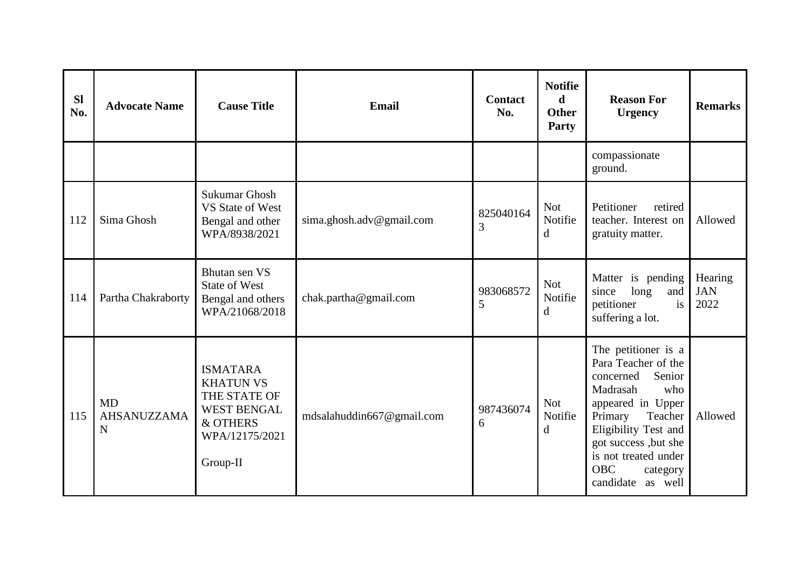| <b>SI</b><br>No. | <b>Advocate Name</b>          | <b>Cause Title</b>                                                                                                  | <b>Email</b>              | <b>Contact</b><br>No. | <b>Notifie</b><br>d<br><b>Other</b><br>Party | <b>Reason For</b><br><b>Urgency</b>                                                                                                                                                                                                                        | <b>Remarks</b>                |
|------------------|-------------------------------|---------------------------------------------------------------------------------------------------------------------|---------------------------|-----------------------|----------------------------------------------|------------------------------------------------------------------------------------------------------------------------------------------------------------------------------------------------------------------------------------------------------------|-------------------------------|
|                  |                               |                                                                                                                     |                           |                       |                                              | compassionate<br>ground.                                                                                                                                                                                                                                   |                               |
| 112              | Sima Ghosh                    | <b>Sukumar Ghosh</b><br>VS State of West<br>Bengal and other<br>WPA/8938/2021                                       | sima.ghosh.adv@gmail.com  | 825040164<br>3        | <b>Not</b><br>Notifie<br>d                   | Petitioner<br>retired<br>teacher. Interest on<br>gratuity matter.                                                                                                                                                                                          | Allowed                       |
| 114              | Partha Chakraborty            | Bhutan sen VS<br><b>State of West</b><br>Bengal and others<br>WPA/21068/2018                                        | chak.partha@gmail.com     | 983068572<br>5        | <b>Not</b><br>Notifie<br>d                   | Matter is pending<br>long<br>since<br>and<br>petitioner<br>is<br>suffering a lot.                                                                                                                                                                          | Hearing<br><b>JAN</b><br>2022 |
| 115              | MD<br><b>AHSANUZZAMA</b><br>N | <b>ISMATARA</b><br><b>KHATUN VS</b><br>THE STATE OF<br><b>WEST BENGAL</b><br>& OTHERS<br>WPA/12175/2021<br>Group-II | mdsalahuddin667@gmail.com | 987436074<br>6        | <b>Not</b><br>Notifie<br>d                   | The petitioner is a<br>Para Teacher of the<br>Senior<br>concerned<br>Madrasah<br>who<br>appeared in Upper<br>Teacher<br>Primary<br>Eligibility Test and<br>got success , but she<br>is not treated under<br><b>OBC</b><br>category<br>candidate<br>as well | Allowed                       |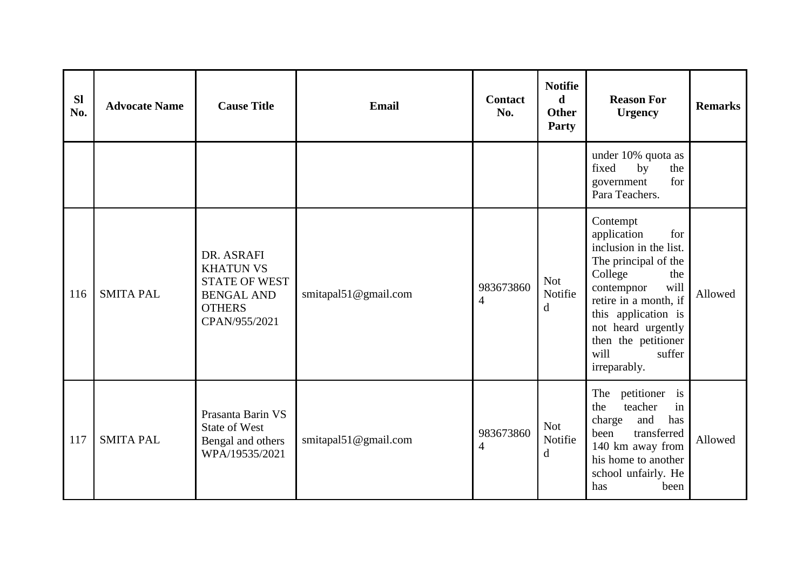| <b>Sl</b><br>No. | <b>Advocate Name</b> | <b>Cause Title</b>                                                                                            | <b>Email</b>         | <b>Contact</b><br>No.       | <b>Notifie</b><br>d<br><b>Other</b><br>Party | <b>Reason For</b><br><b>Urgency</b>                                                                                                                                                                                                                     | <b>Remarks</b> |
|------------------|----------------------|---------------------------------------------------------------------------------------------------------------|----------------------|-----------------------------|----------------------------------------------|---------------------------------------------------------------------------------------------------------------------------------------------------------------------------------------------------------------------------------------------------------|----------------|
|                  |                      |                                                                                                               |                      |                             |                                              | under 10% quota as<br>fixed<br>by<br>the<br>for<br>government<br>Para Teachers.                                                                                                                                                                         |                |
| 116              | <b>SMITA PAL</b>     | DR. ASRAFI<br><b>KHATUN VS</b><br><b>STATE OF WEST</b><br><b>BENGAL AND</b><br><b>OTHERS</b><br>CPAN/955/2021 | smitapal51@gmail.com | 983673860<br>$\overline{4}$ | Not<br>Notifie<br>d                          | Contempt<br>for<br>application<br>inclusion in the list.<br>The principal of the<br>College<br>the<br>will<br>contempnor<br>retire in a month, if<br>this application is<br>not heard urgently<br>then the petitioner<br>will<br>suffer<br>irreparably. | Allowed        |
| 117              | <b>SMITA PAL</b>     | Prasanta Barin VS<br><b>State of West</b><br>Bengal and others<br>WPA/19535/2021                              | smitapal51@gmail.com | 983673860<br>$\overline{4}$ | <b>Not</b><br>Notifie<br>d                   | The petitioner is<br>teacher<br>in<br>the<br>and<br>has<br>charge<br>been<br>transferred<br>140 km away from<br>his home to another<br>school unfairly. He<br>has<br>been                                                                               | Allowed        |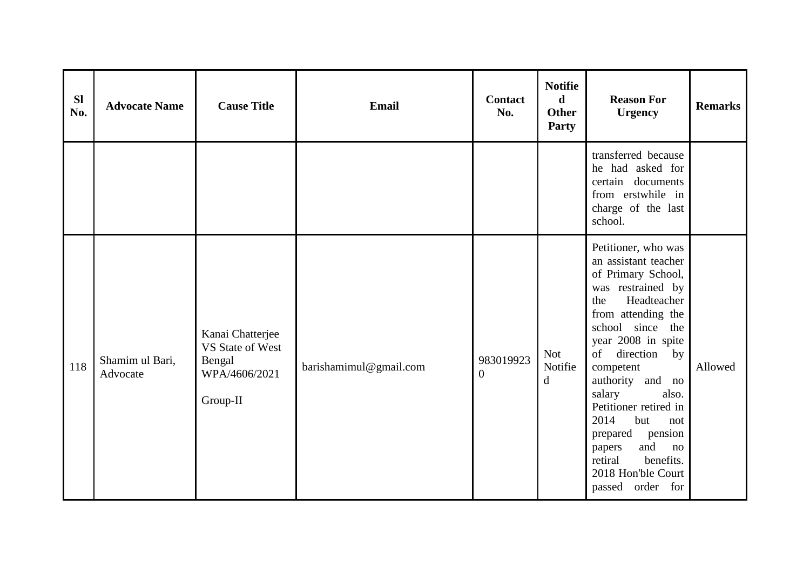| <b>SI</b><br>No. | <b>Advocate Name</b>        | <b>Cause Title</b>                                                          | <b>Email</b>           | <b>Contact</b><br>No.       | <b>Notifie</b><br>$\mathbf d$<br><b>Other</b><br>Party | <b>Reason For</b><br><b>Urgency</b>                                                                                                                                                                                                                                                                                                                                                                                      | <b>Remarks</b> |
|------------------|-----------------------------|-----------------------------------------------------------------------------|------------------------|-----------------------------|--------------------------------------------------------|--------------------------------------------------------------------------------------------------------------------------------------------------------------------------------------------------------------------------------------------------------------------------------------------------------------------------------------------------------------------------------------------------------------------------|----------------|
|                  |                             |                                                                             |                        |                             |                                                        | transferred because<br>he had asked for<br>certain documents<br>from erstwhile in<br>charge of the last<br>school.                                                                                                                                                                                                                                                                                                       |                |
| 118              | Shamim ul Bari,<br>Advocate | Kanai Chatterjee<br>VS State of West<br>Bengal<br>WPA/4606/2021<br>Group-II | barishamimul@gmail.com | 983019923<br>$\overline{0}$ | <b>Not</b><br>Notifie<br>$\mathbf d$                   | Petitioner, who was<br>an assistant teacher<br>of Primary School,<br>was restrained by<br>Headteacher<br>the<br>from attending the<br>school since the<br>year 2008 in spite<br>direction<br>of<br>by<br>competent<br>authority and no<br>salary<br>also.<br>Petitioner retired in<br>2014<br>but<br>not<br>pension<br>prepared<br>and<br>papers<br>no<br>benefits.<br>retiral<br>2018 Hon'ble Court<br>passed order for | Allowed        |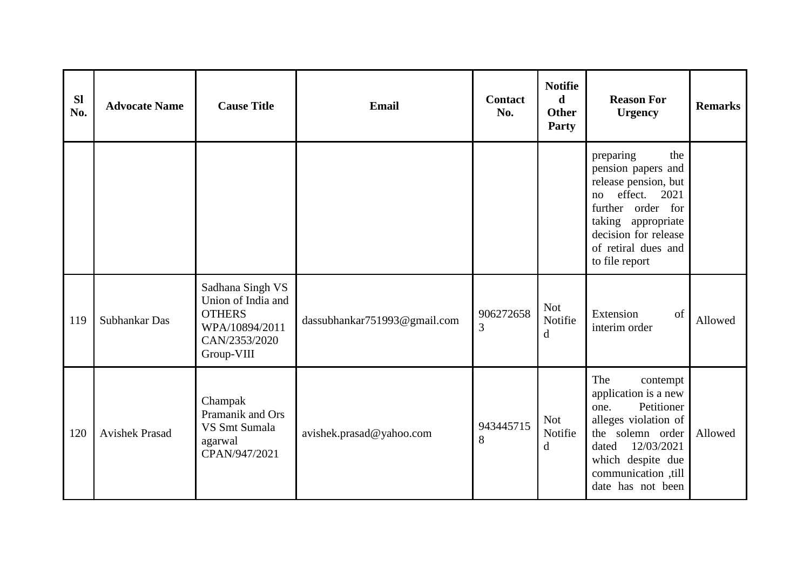| <b>Sl</b><br>No. | <b>Advocate Name</b>  | <b>Cause Title</b>                                                                                       | Email                        | <b>Contact</b><br>No. | <b>Notifie</b><br>$\mathbf d$<br><b>Other</b><br>Party | <b>Reason For</b><br><b>Urgency</b>                                                                                                                                                                 | <b>Remarks</b> |
|------------------|-----------------------|----------------------------------------------------------------------------------------------------------|------------------------------|-----------------------|--------------------------------------------------------|-----------------------------------------------------------------------------------------------------------------------------------------------------------------------------------------------------|----------------|
|                  |                       |                                                                                                          |                              |                       |                                                        | the<br>preparing<br>pension papers and<br>release pension, but<br>effect.<br>2021<br>no<br>further order for<br>taking appropriate<br>decision for release<br>of retiral dues and<br>to file report |                |
| 119              | Subhankar Das         | Sadhana Singh VS<br>Union of India and<br><b>OTHERS</b><br>WPA/10894/2011<br>CAN/2353/2020<br>Group-VIII | dassubhankar751993@gmail.com | 906272658<br>3        | <b>Not</b><br>Notifie<br>d                             | Extension<br>of<br>interim order                                                                                                                                                                    | Allowed        |
| 120              | <b>Avishek Prasad</b> | Champak<br>Pramanik and Ors<br>VS Smt Sumala<br>agarwal<br>CPAN/947/2021                                 | avishek.prasad@yahoo.com     | 943445715<br>8        | <b>Not</b><br>Notifie<br>d                             | The<br>contempt<br>application is a new<br>Petitioner<br>one.<br>alleges violation of<br>the solemn order<br>12/03/2021<br>dated<br>which despite due<br>communication ,till<br>date has not been   | Allowed        |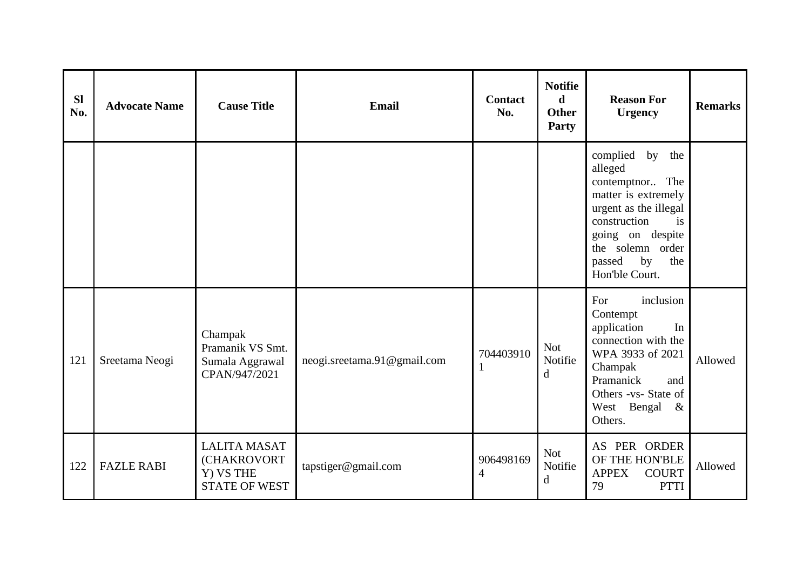| <b>Sl</b><br>No. | <b>Advocate Name</b> | <b>Cause Title</b>                                                      | <b>Email</b>                | <b>Contact</b><br>No. | <b>Notifie</b><br>$\mathbf d$<br><b>Other</b><br>Party | <b>Reason For</b><br><b>Urgency</b>                                                                                                                                                                  | <b>Remarks</b> |
|------------------|----------------------|-------------------------------------------------------------------------|-----------------------------|-----------------------|--------------------------------------------------------|------------------------------------------------------------------------------------------------------------------------------------------------------------------------------------------------------|----------------|
|                  |                      |                                                                         |                             |                       |                                                        | complied by the<br>alleged<br>contemptnor The<br>matter is extremely<br>urgent as the illegal<br>construction<br>is<br>going on despite<br>the solemn order<br>passed<br>by<br>the<br>Hon'ble Court. |                |
| 121              | Sreetama Neogi       | Champak<br>Pramanik VS Smt.<br>Sumala Aggrawal<br>CPAN/947/2021         | neogi.sreetama.91@gmail.com | 704403910<br>1        | <b>Not</b><br>Notifie<br>d                             | inclusion<br>For<br>Contempt<br>application<br>In<br>connection with the<br>WPA 3933 of 2021<br>Champak<br>Pramanick<br>and<br>Others -vs- State of<br>West Bengal<br>$\&$<br>Others.                | Allowed        |
| 122              | <b>FAZLE RABI</b>    | <b>LALITA MASAT</b><br>(CHAKROVORT<br>Y) VS THE<br><b>STATE OF WEST</b> | tapstiger@gmail.com         | 906498169<br>4        | <b>Not</b><br>Notifie<br>$\mathbf d$                   | AS PER ORDER<br>OF THE HON'BLE<br><b>COURT</b><br><b>APPEX</b><br>79<br><b>PTTI</b>                                                                                                                  | Allowed        |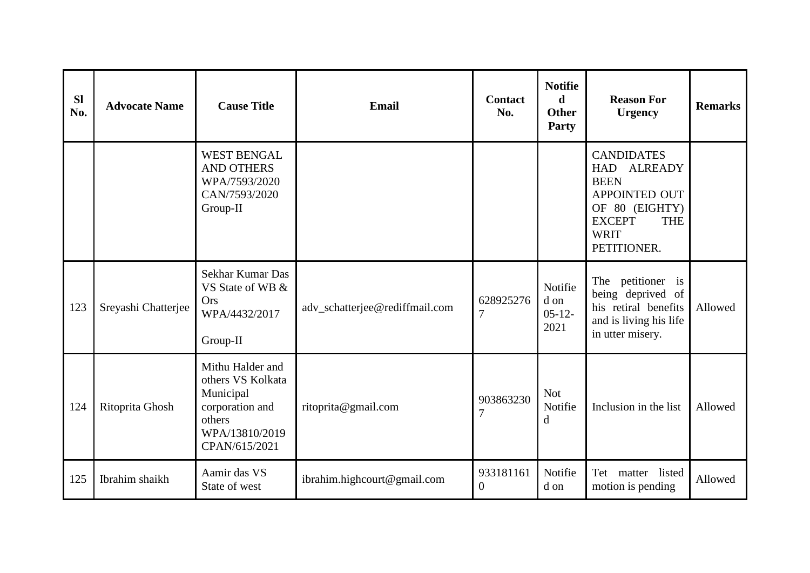| <b>Sl</b><br>No. | <b>Advocate Name</b> | <b>Cause Title</b>                                                                                                 | <b>Email</b>                   | <b>Contact</b><br>No.       | <b>Notifie</b><br>d<br><b>Other</b><br>Party | <b>Reason For</b><br><b>Urgency</b>                                                                                                                    | <b>Remarks</b> |
|------------------|----------------------|--------------------------------------------------------------------------------------------------------------------|--------------------------------|-----------------------------|----------------------------------------------|--------------------------------------------------------------------------------------------------------------------------------------------------------|----------------|
|                  |                      | <b>WEST BENGAL</b><br><b>AND OTHERS</b><br>WPA/7593/2020<br>CAN/7593/2020<br>Group-II                              |                                |                             |                                              | <b>CANDIDATES</b><br>HAD ALREADY<br><b>BEEN</b><br><b>APPOINTED OUT</b><br>OF 80 (EIGHTY)<br><b>EXCEPT</b><br><b>THE</b><br><b>WRIT</b><br>PETITIONER. |                |
| 123              | Sreyashi Chatterjee  | Sekhar Kumar Das<br>VS State of WB &<br>Ors<br>WPA/4432/2017<br>Group-II                                           | adv_schatterjee@rediffmail.com | 628925276<br>$\overline{7}$ | Notifie<br>d on<br>$05 - 12 -$<br>2021       | petitioner is<br>The<br>being deprived of<br>his retiral benefits<br>and is living his life<br>in utter misery.                                        | Allowed        |
| 124              | Ritoprita Ghosh      | Mithu Halder and<br>others VS Kolkata<br>Municipal<br>corporation and<br>others<br>WPA/13810/2019<br>CPAN/615/2021 | ritoprita@gmail.com            | 903863230<br>$\overline{7}$ | <b>Not</b><br>Notifie<br>d                   | Inclusion in the list                                                                                                                                  | Allowed        |
| 125              | Ibrahim shaikh       | Aamir das VS<br>State of west                                                                                      | ibrahim.highcourt@gmail.com    | 933181161<br>$\theta$       | Notifie<br>d on                              | Tet matter listed<br>motion is pending                                                                                                                 | Allowed        |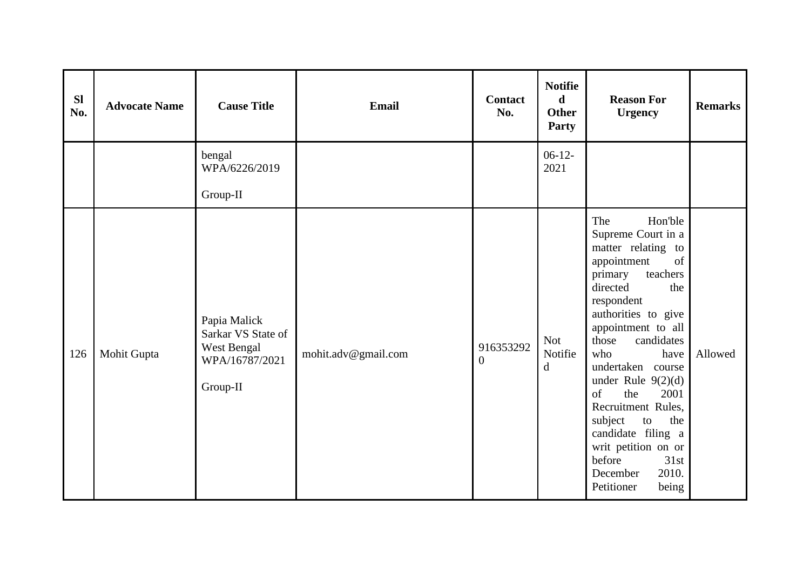| <b>Sl</b><br>No. | <b>Advocate Name</b> | <b>Cause Title</b>                                                              | Email               | <b>Contact</b><br>No.       | <b>Notifie</b><br>$\mathbf d$<br><b>Other</b><br>Party | <b>Reason For</b><br><b>Urgency</b>                                                                                                                                                                                                                                                                                                                                                                                                                   | <b>Remarks</b> |
|------------------|----------------------|---------------------------------------------------------------------------------|---------------------|-----------------------------|--------------------------------------------------------|-------------------------------------------------------------------------------------------------------------------------------------------------------------------------------------------------------------------------------------------------------------------------------------------------------------------------------------------------------------------------------------------------------------------------------------------------------|----------------|
|                  |                      | bengal<br>WPA/6226/2019<br>Group-II                                             |                     |                             | $06-12-$<br>2021                                       |                                                                                                                                                                                                                                                                                                                                                                                                                                                       |                |
| 126              | Mohit Gupta          | Papia Malick<br>Sarkar VS State of<br>West Bengal<br>WPA/16787/2021<br>Group-II | mohit.adv@gmail.com | 916353292<br>$\overline{0}$ | <b>Not</b><br>Notifie<br>$\mathbf d$                   | Hon'ble<br>The<br>Supreme Court in a<br>matter relating to<br>of<br>appointment<br>teachers<br>primary<br>directed<br>the<br>respondent<br>authorities to give<br>appointment to all<br>those<br>candidates<br>who<br>have<br>undertaken course<br>under Rule $9(2)(d)$<br>of<br>the<br>2001<br>Recruitment Rules,<br>subject<br>to<br>the<br>candidate filing a<br>writ petition on or<br>before<br>31st<br>2010.<br>December<br>Petitioner<br>being | Allowed        |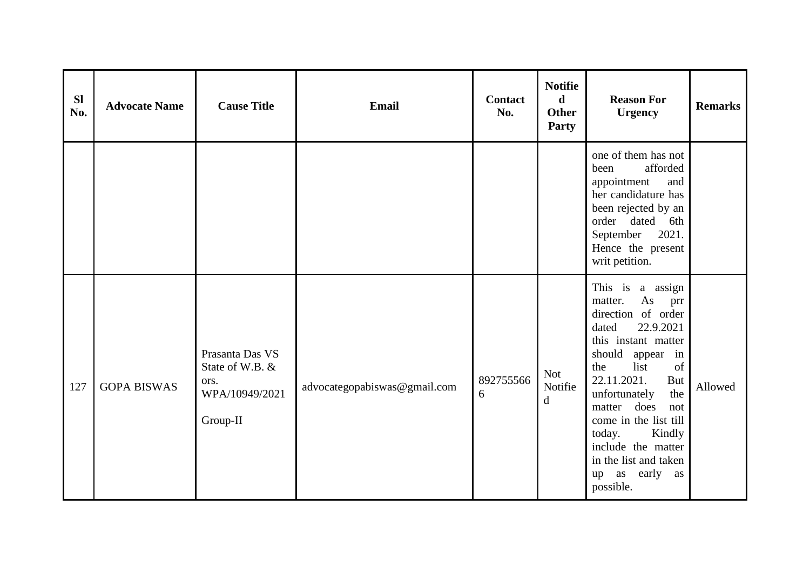| <b>SI</b><br>No. | <b>Advocate Name</b> | <b>Cause Title</b>                                                       | <b>Email</b>                 | <b>Contact</b><br>No. | <b>Notifie</b><br>$\mathbf d$<br><b>Other</b><br><b>Party</b> | <b>Reason For</b><br><b>Urgency</b>                                                                                                                                                                                                                                                                                                                                 | <b>Remarks</b> |
|------------------|----------------------|--------------------------------------------------------------------------|------------------------------|-----------------------|---------------------------------------------------------------|---------------------------------------------------------------------------------------------------------------------------------------------------------------------------------------------------------------------------------------------------------------------------------------------------------------------------------------------------------------------|----------------|
|                  |                      |                                                                          |                              |                       |                                                               | one of them has not<br>afforded<br>been<br>appointment<br>and<br>her candidature has<br>been rejected by an<br>order dated<br>6th<br>2021.<br>September<br>Hence the present<br>writ petition.                                                                                                                                                                      |                |
| 127              | <b>GOPA BISWAS</b>   | Prasanta Das VS<br>State of W.B. &<br>ors.<br>WPA/10949/2021<br>Group-II | advocategopabiswas@gmail.com | 892755566<br>6        | Not<br>Notifie<br>$\mathbf d$                                 | This is a assign<br>matter.<br>As<br>prr<br>direction of order<br>22.9.2021<br>dated<br>this instant matter<br>should<br>appear<br>in<br>of<br>list<br>the<br>22.11.2021.<br><b>But</b><br>unfortunately<br>the<br>matter does<br>not<br>come in the list till<br>today.<br>Kindly<br>include the matter<br>in the list and taken<br>early as<br>up as<br>possible. | Allowed        |